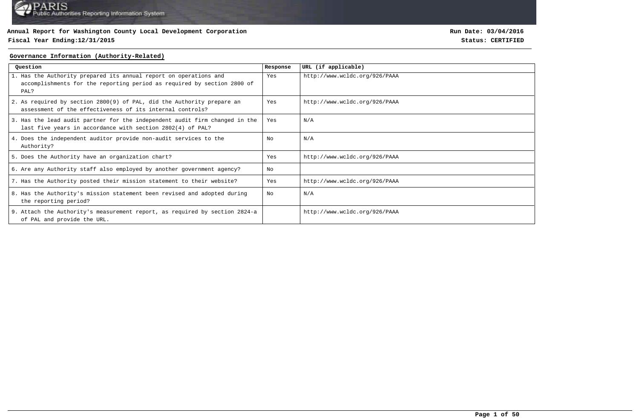## **Fiscal Year Ending:12/31/2015 Status: CERTIFIED**

**Run Date: 03/04/2016**

#### **Governance Information (Authority-Related)**

| Ouestion                                                                                                                                             | Response | URL (if applicable)           |
|------------------------------------------------------------------------------------------------------------------------------------------------------|----------|-------------------------------|
| 1. Has the Authority prepared its annual report on operations and<br>accomplishments for the reporting period as required by section 2800 of<br>PAL? | Yes      | http://www.wcldc.org/926/PAAA |
| 2. As required by section 2800(9) of PAL, did the Authority prepare an<br>assessment of the effectiveness of its internal controls?                  | Yes      | http://www.wcldc.org/926/PAAA |
| 3. Has the lead audit partner for the independent audit firm changed in the<br>last five years in accordance with section 2802(4) of PAL?            | Yes      | N/A                           |
| 4. Does the independent auditor provide non-audit services to the<br>Authority?                                                                      | No       | N/A                           |
| 5. Does the Authority have an organization chart?                                                                                                    | Yes      | http://www.wcldc.org/926/PAAA |
| 6. Are any Authority staff also employed by another government agency?                                                                               | No       |                               |
| 7. Has the Authority posted their mission statement to their website?                                                                                | Yes      | http://www.wcldc.org/926/PAAA |
| 8. Has the Authority's mission statement been revised and adopted during<br>the reporting period?                                                    | No       | N/A                           |
| 9. Attach the Authority's measurement report, as required by section 2824-a<br>of PAL and provide the URL.                                           |          | http://www.wcldc.org/926/PAAA |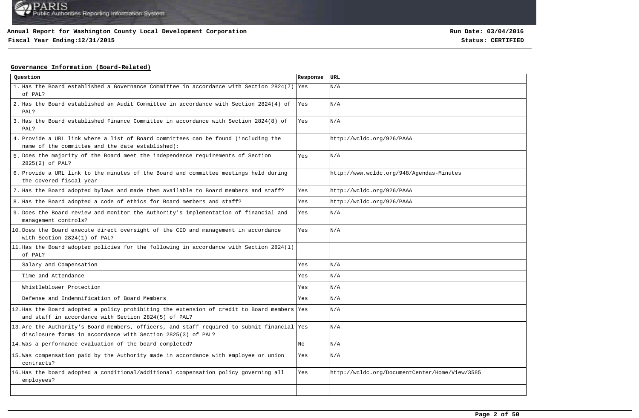## **Fiscal Year Ending:12/31/2015 Status: CERTIFIED**

## **Governance Information (Board-Related)**

| Question                                                                                                                                                   | Response | <b>URL</b>                                     |
|------------------------------------------------------------------------------------------------------------------------------------------------------------|----------|------------------------------------------------|
| 1. Has the Board established a Governance Committee in accordance with Section 2824(7) Yes<br>of PAL?                                                      |          | N/A                                            |
| 2. Has the Board established an Audit Committee in accordance with Section 2824(4) of<br>PAL?                                                              | Yes      | N/A                                            |
| 3. Has the Board established Finance Committee in accordance with Section 2824(8) of<br>PAL?                                                               | Yes      | N/A                                            |
| 4. Provide a URL link where a list of Board committees can be found (including the<br>name of the committee and the date established):                     |          | http://wcldc.org/926/PAAA                      |
| 5. Does the majority of the Board meet the independence requirements of Section<br>2825(2) of PAL?                                                         | Yes      | N/A                                            |
| 6. Provide a URL link to the minutes of the Board and committee meetings held during<br>the covered fiscal year                                            |          | http://www.wcldc.org/948/Agendas-Minutes       |
| 7. Has the Board adopted bylaws and made them available to Board members and staff?                                                                        | Yes      | http://wcldc.org/926/PAAA                      |
| 8. Has the Board adopted a code of ethics for Board members and staff?                                                                                     | Yes      | http://wcldc.org/926/PAAA                      |
| 9. Does the Board review and monitor the Authority's implementation of financial and<br>management controls?                                               | Yes      | N/A                                            |
| 10. Does the Board execute direct oversight of the CEO and management in accordance<br>with Section 2824(1) of PAL?                                        | Yes      | N/A                                            |
| 11. Has the Board adopted policies for the following in accordance with Section 2824(1)<br>of PAL?                                                         |          |                                                |
| Salary and Compensation                                                                                                                                    | Yes      | N/A                                            |
| Time and Attendance                                                                                                                                        | Yes      | N/A                                            |
| Whistleblower Protection                                                                                                                                   | Yes      | N/A                                            |
| Defense and Indemnification of Board Members                                                                                                               | Yes      | N/A                                            |
| 12. Has the Board adopted a policy prohibiting the extension of credit to Board members Yes<br>and staff in accordance with Section 2824(5) of PAL?        |          | N/A                                            |
| 13. Are the Authority's Board members, officers, and staff required to submit financial Yes<br>disclosure forms in accordance with Section 2825(3) of PAL? |          | N/A                                            |
| 14. Was a performance evaluation of the board completed?                                                                                                   | No       | N/A                                            |
| 15. Was compensation paid by the Authority made in accordance with employee or union<br>contracts?                                                         | Yes      | N/A                                            |
| 16. Has the board adopted a conditional/additional compensation policy governing all<br>employees?                                                         | Yes      | http://wcldc.org/DocumentCenter/Home/View/3585 |
|                                                                                                                                                            |          |                                                |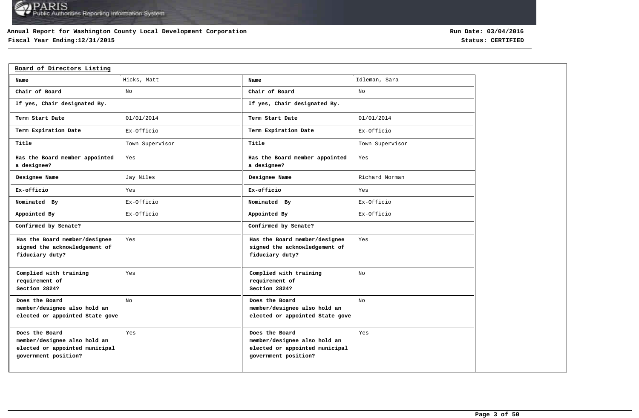## **Annual Report for Washington County Local Development Corporation**

# **Fiscal Year Ending:12/31/2015 Status: CERTIFIED**

| Board of Directors Listing                                                                               |                 |                                                                                                          |                 |
|----------------------------------------------------------------------------------------------------------|-----------------|----------------------------------------------------------------------------------------------------------|-----------------|
| Name                                                                                                     | Hicks, Matt     | Name                                                                                                     | Idleman, Sara   |
| Chair of Board                                                                                           | No              | Chair of Board                                                                                           | No              |
| If yes, Chair designated By.                                                                             |                 | If yes, Chair designated By.                                                                             |                 |
| Term Start Date                                                                                          | 01/01/2014      | Term Start Date                                                                                          | 01/01/2014      |
| Term Expiration Date                                                                                     | Ex-Officio      | Term Expiration Date                                                                                     | Ex-Officio      |
| Title                                                                                                    | Town Supervisor | Title                                                                                                    | Town Supervisor |
| Has the Board member appointed<br>a designee?                                                            | Yes             | Has the Board member appointed<br>a designee?                                                            | Yes             |
| Designee Name                                                                                            | Jay Niles       | Designee Name                                                                                            | Richard Norman  |
| Ex-officio                                                                                               | Yes             | Ex-officio                                                                                               | Yes             |
| Nominated By                                                                                             | Ex-Officio      | Nominated By                                                                                             | Ex-Officio      |
| Appointed By                                                                                             | Ex-Officio      | Appointed By                                                                                             | Ex-Officio      |
| Confirmed by Senate?                                                                                     |                 | Confirmed by Senate?                                                                                     |                 |
| Has the Board member/designee<br>signed the acknowledgement of<br>fiduciary duty?                        | Yes             | Has the Board member/designee<br>signed the acknowledgement of<br>fiduciary duty?                        | Yes             |
| Complied with training<br>requirement of<br>Section 2824?                                                | Yes             | Complied with training<br>requirement of<br>Section 2824?                                                | No              |
| Does the Board<br>member/designee also hold an<br>elected or appointed State gove                        | No              | Does the Board<br>member/designee also hold an<br>elected or appointed State gove                        | No              |
| Does the Board<br>member/designee also hold an<br>elected or appointed municipal<br>government position? | Yes             | Does the Board<br>member/designee also hold an<br>elected or appointed municipal<br>government position? | Yes             |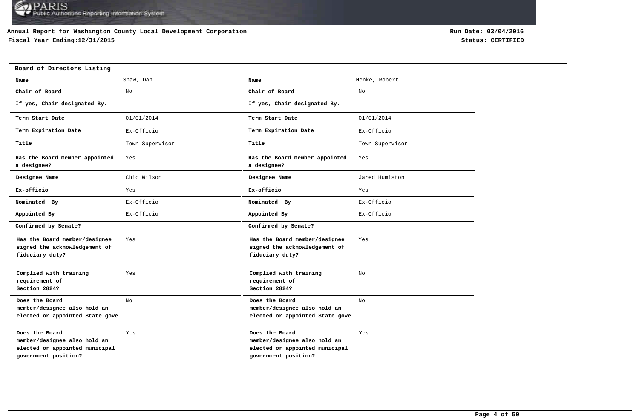## **Annual Report for Washington County Local Development Corporation**

# **Fiscal Year Ending:12/31/2015 Status: CERTIFIED**

| Board of Directors Listing                                                                               |                 |                                                                                                          |                 |
|----------------------------------------------------------------------------------------------------------|-----------------|----------------------------------------------------------------------------------------------------------|-----------------|
| Name                                                                                                     | Shaw, Dan       | Name                                                                                                     | Henke, Robert   |
| Chair of Board                                                                                           | No              | Chair of Board                                                                                           | No              |
| If yes, Chair designated By.                                                                             |                 | If yes, Chair designated By.                                                                             |                 |
| Term Start Date                                                                                          | 01/01/2014      | Term Start Date                                                                                          | 01/01/2014      |
| Term Expiration Date                                                                                     | Ex-Officio      | Term Expiration Date                                                                                     | Ex-Officio      |
| Title                                                                                                    | Town Supervisor | Title                                                                                                    | Town Supervisor |
| Has the Board member appointed<br>a designee?                                                            | Yes             | Has the Board member appointed<br>a designee?                                                            | Yes             |
| Designee Name                                                                                            | Chic Wilson     | Designee Name                                                                                            | Jared Humiston  |
| Ex-officio                                                                                               | Yes             | Ex-officio                                                                                               | Yes             |
| Nominated By                                                                                             | Ex-Officio      | Nominated By                                                                                             | Ex-Officio      |
| Appointed By                                                                                             | Ex-Officio      | Appointed By                                                                                             | Ex-Officio      |
| Confirmed by Senate?                                                                                     |                 | Confirmed by Senate?                                                                                     |                 |
| Has the Board member/designee<br>signed the acknowledgement of<br>fiduciary duty?                        | Yes             | Has the Board member/designee<br>signed the acknowledgement of<br>fiduciary duty?                        | Yes             |
| Complied with training<br>requirement of<br>Section 2824?                                                | Yes             | Complied with training<br>requirement of<br>Section 2824?                                                | No              |
| Does the Board<br>member/designee also hold an<br>elected or appointed State gove                        | No              | Does the Board<br>member/designee also hold an<br>elected or appointed State gove                        | No              |
| Does the Board<br>member/designee also hold an<br>elected or appointed municipal<br>government position? | Yes             | Does the Board<br>member/designee also hold an<br>elected or appointed municipal<br>government position? | Yes             |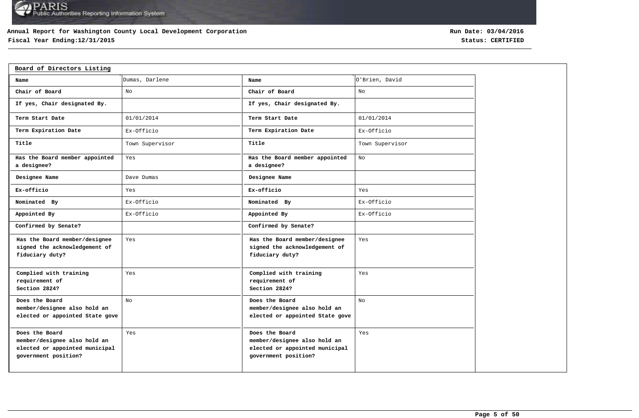## **Annual Report for Washington County Local Development Corporation**

# **Fiscal Year Ending:12/31/2015 Status: CERTIFIED**

| Board of Directors Listing                                                                               |                 |                                                                                                          |                 |
|----------------------------------------------------------------------------------------------------------|-----------------|----------------------------------------------------------------------------------------------------------|-----------------|
| Name                                                                                                     | Dumas, Darlene  | Name                                                                                                     | O'Brien, David  |
| Chair of Board                                                                                           | No              | Chair of Board                                                                                           | No              |
| If yes, Chair designated By.                                                                             |                 | If yes, Chair designated By.                                                                             |                 |
| Term Start Date                                                                                          | 01/01/2014      | Term Start Date                                                                                          | 01/01/2014      |
| Term Expiration Date                                                                                     | Ex-Officio      | Term Expiration Date                                                                                     | Ex-Officio      |
| Title                                                                                                    | Town Supervisor | Title                                                                                                    | Town Supervisor |
| Has the Board member appointed<br>a designee?                                                            | Yes             | Has the Board member appointed<br>a designee?                                                            | No              |
| Designee Name                                                                                            | Dave Dumas      | Designee Name                                                                                            |                 |
| Ex-officio                                                                                               | Yes             | Ex-officio                                                                                               | Yes             |
| Nominated By                                                                                             | Ex-Officio      | Nominated By                                                                                             | Ex-Officio      |
| Appointed By                                                                                             | Ex-Officio      | Appointed By                                                                                             | Ex-Officio      |
| Confirmed by Senate?                                                                                     |                 | Confirmed by Senate?                                                                                     |                 |
| Has the Board member/designee<br>signed the acknowledgement of<br>fiduciary duty?                        | Yes             | Has the Board member/designee<br>signed the acknowledgement of<br>fiduciary duty?                        | Yes             |
| Complied with training<br>requirement of<br>Section 2824?                                                | Yes             | Complied with training<br>requirement of<br>Section 2824?                                                | Yes             |
| Does the Board<br>member/designee also hold an<br>elected or appointed State gove                        | No              | Does the Board<br>member/designee also hold an<br>elected or appointed State gove                        | No              |
| Does the Board<br>member/designee also hold an<br>elected or appointed municipal<br>government position? | Yes             | Does the Board<br>member/designee also hold an<br>elected or appointed municipal<br>government position? | Yes             |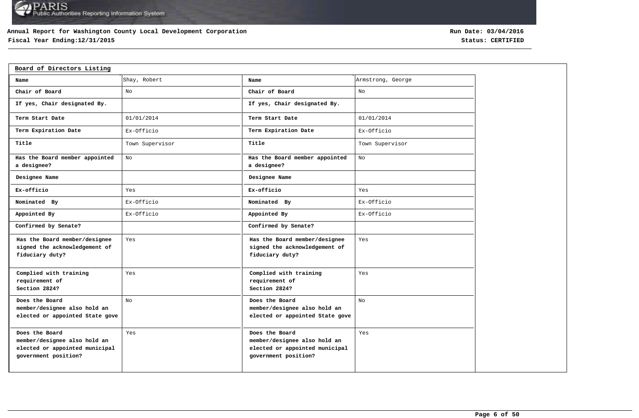## **Annual Report for Washington County Local Development Corporation**

# **Fiscal Year Ending:12/31/2015 Status: CERTIFIED**

| Board of Directors Listing                                                                               |                 |                                                                                                          |                   |  |  |  |  |  |
|----------------------------------------------------------------------------------------------------------|-----------------|----------------------------------------------------------------------------------------------------------|-------------------|--|--|--|--|--|
| Name                                                                                                     | Shay, Robert    | Name                                                                                                     | Armstrong, George |  |  |  |  |  |
| Chair of Board                                                                                           | No              | Chair of Board                                                                                           | No                |  |  |  |  |  |
| If yes, Chair designated By.                                                                             |                 | If yes, Chair designated By.                                                                             |                   |  |  |  |  |  |
| Term Start Date                                                                                          | 01/01/2014      | Term Start Date                                                                                          | 01/01/2014        |  |  |  |  |  |
| Term Expiration Date                                                                                     | Ex-Officio      | Term Expiration Date                                                                                     | Ex-Officio        |  |  |  |  |  |
| Title                                                                                                    | Town Supervisor | Title                                                                                                    | Town Supervisor   |  |  |  |  |  |
| Has the Board member appointed<br>a designee?                                                            | No              | Has the Board member appointed<br>a designee?                                                            | No                |  |  |  |  |  |
| Designee Name                                                                                            |                 | Designee Name                                                                                            |                   |  |  |  |  |  |
| Ex-officio                                                                                               | Yes             | Ex-officio                                                                                               | Yes               |  |  |  |  |  |
| Nominated By                                                                                             | Ex-Officio      | Nominated By                                                                                             | Ex-Officio        |  |  |  |  |  |
| Appointed By                                                                                             | Ex-Officio      | Appointed By                                                                                             | Ex-Officio        |  |  |  |  |  |
| Confirmed by Senate?                                                                                     |                 | Confirmed by Senate?                                                                                     |                   |  |  |  |  |  |
| Has the Board member/designee<br>signed the acknowledgement of<br>fiduciary duty?                        | Yes             | Has the Board member/designee<br>signed the acknowledgement of<br>fiduciary duty?                        | Yes               |  |  |  |  |  |
| Complied with training<br>requirement of<br>Section 2824?                                                | Yes             | Complied with training<br>requirement of<br>Section 2824?                                                | Yes               |  |  |  |  |  |
| Does the Board<br>member/designee also hold an<br>elected or appointed State gove                        | No              | Does the Board<br>member/designee also hold an<br>elected or appointed State gove                        | No                |  |  |  |  |  |
| Does the Board<br>member/designee also hold an<br>elected or appointed municipal<br>government position? | Yes             | Does the Board<br>member/designee also hold an<br>elected or appointed municipal<br>government position? | Yes               |  |  |  |  |  |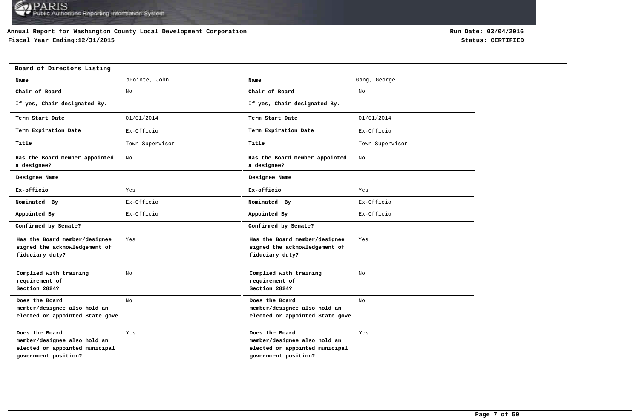## **Annual Report for Washington County Local Development Corporation**

# **Fiscal Year Ending:12/31/2015 Status: CERTIFIED**

| Board of Directors Listing                                                                               |                 |                                                                                                          |                 |
|----------------------------------------------------------------------------------------------------------|-----------------|----------------------------------------------------------------------------------------------------------|-----------------|
| Name                                                                                                     | LaPointe, John  | Name                                                                                                     | Gang, George    |
| Chair of Board                                                                                           | No              | Chair of Board                                                                                           | No              |
| If yes, Chair designated By.                                                                             |                 | If yes, Chair designated By.                                                                             |                 |
| Term Start Date                                                                                          | 01/01/2014      | Term Start Date                                                                                          | 01/01/2014      |
| Term Expiration Date                                                                                     | Ex-Officio      | Term Expiration Date                                                                                     | Ex-Officio      |
| Title                                                                                                    | Town Supervisor | Title                                                                                                    | Town Supervisor |
| Has the Board member appointed<br>a designee?                                                            | No              | Has the Board member appointed<br>a designee?                                                            | No              |
| Designee Name                                                                                            |                 | Designee Name                                                                                            |                 |
| Ex-officio                                                                                               | Yes             | Ex-officio                                                                                               | Yes             |
| Nominated By                                                                                             | Ex-Officio      | Nominated By                                                                                             | Ex-Officio      |
| Appointed By                                                                                             | Ex-Officio      | Appointed By                                                                                             | Ex-Officio      |
| Confirmed by Senate?                                                                                     |                 | Confirmed by Senate?                                                                                     |                 |
| Has the Board member/designee<br>signed the acknowledgement of<br>fiduciary duty?                        | Yes             | Has the Board member/designee<br>signed the acknowledgement of<br>fiduciary duty?                        | Yes             |
| Complied with training<br>requirement of<br>Section 2824?                                                | No              | Complied with training<br>requirement of<br>Section 2824?                                                | No              |
| Does the Board<br>member/designee also hold an<br>elected or appointed State gove                        | No              | Does the Board<br>member/designee also hold an<br>elected or appointed State gove                        | No              |
| Does the Board<br>member/designee also hold an<br>elected or appointed municipal<br>government position? | Yes             | Does the Board<br>member/designee also hold an<br>elected or appointed municipal<br>government position? | Yes             |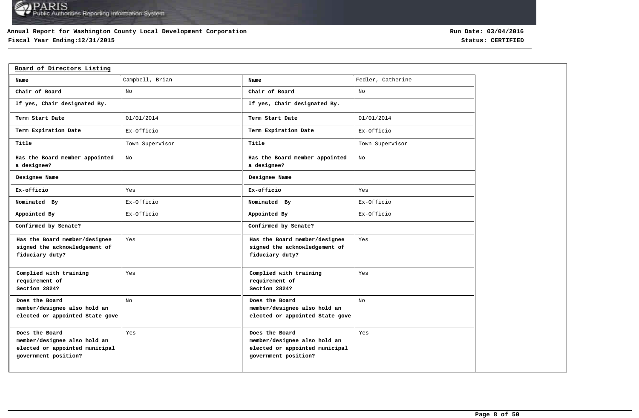## **Annual Report for Washington County Local Development Corporation**

# **Fiscal Year Ending:12/31/2015 Status: CERTIFIED**

| Board of Directors Listing                                                                               |                 |                                                                                                          |                   |
|----------------------------------------------------------------------------------------------------------|-----------------|----------------------------------------------------------------------------------------------------------|-------------------|
| Name                                                                                                     | Campbell, Brian | Name                                                                                                     | Fedler, Catherine |
| Chair of Board                                                                                           | No              | Chair of Board                                                                                           | No                |
| If yes, Chair designated By.                                                                             |                 | If yes, Chair designated By.                                                                             |                   |
| Term Start Date                                                                                          | 01/01/2014      | Term Start Date                                                                                          | 01/01/2014        |
| Term Expiration Date                                                                                     | Ex-Officio      | Term Expiration Date                                                                                     | Ex-Officio        |
| Title                                                                                                    | Town Supervisor | Title                                                                                                    | Town Supervisor   |
| Has the Board member appointed<br>a designee?                                                            | No              | Has the Board member appointed<br>a designee?                                                            | No                |
| Designee Name                                                                                            |                 | Designee Name                                                                                            |                   |
| Ex-officio                                                                                               | Yes             | Ex-officio                                                                                               | Yes               |
| Nominated By                                                                                             | Ex-Officio      | Nominated By                                                                                             | Ex-Officio        |
| Appointed By                                                                                             | Ex-Officio      | Appointed By                                                                                             | Ex-Officio        |
| Confirmed by Senate?                                                                                     |                 | Confirmed by Senate?                                                                                     |                   |
| Has the Board member/designee<br>signed the acknowledgement of<br>fiduciary duty?                        | Yes             | Has the Board member/designee<br>signed the acknowledgement of<br>fiduciary duty?                        | Yes               |
| Complied with training<br>requirement of<br>Section 2824?                                                | Yes             | Complied with training<br>requirement of<br>Section 2824?                                                | Yes               |
| Does the Board<br>member/designee also hold an<br>elected or appointed State gove                        | No              | Does the Board<br>member/designee also hold an<br>elected or appointed State gove                        | No                |
| Does the Board<br>member/designee also hold an<br>elected or appointed municipal<br>government position? | Yes             | Does the Board<br>member/designee also hold an<br>elected or appointed municipal<br>government position? | Yes               |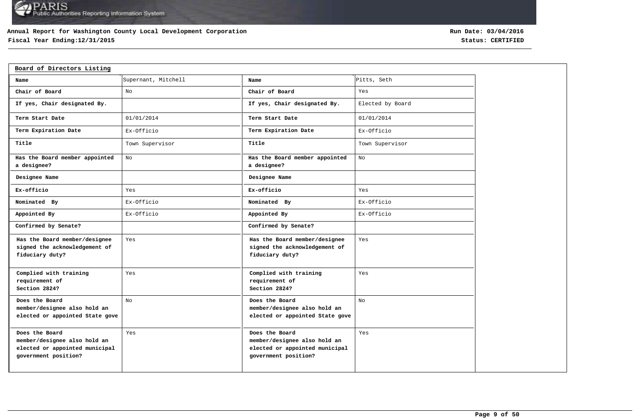## **Annual Report for Washington County Local Development Corporation**

# **Fiscal Year Ending:12/31/2015 Status: CERTIFIED**

| Board of Directors Listing                                                                               |                     |                                                                                                          |                  |
|----------------------------------------------------------------------------------------------------------|---------------------|----------------------------------------------------------------------------------------------------------|------------------|
| Name                                                                                                     | Supernant, Mitchell | Name                                                                                                     | Pitts, Seth      |
| Chair of Board                                                                                           | No                  | Chair of Board                                                                                           | Yes              |
| If yes, Chair designated By.                                                                             |                     | If yes, Chair designated By.                                                                             | Elected by Board |
| Term Start Date                                                                                          | 01/01/2014          | Term Start Date                                                                                          | 01/01/2014       |
| Term Expiration Date                                                                                     | Ex-Officio          | Term Expiration Date                                                                                     | Ex-Officio       |
| Title                                                                                                    | Town Supervisor     | Title                                                                                                    | Town Supervisor  |
| Has the Board member appointed<br>a designee?                                                            | No                  | Has the Board member appointed<br>a designee?                                                            | No.              |
| Designee Name                                                                                            |                     | Designee Name                                                                                            |                  |
| Ex-officio                                                                                               | Yes                 | Ex-officio                                                                                               | Yes              |
| Nominated By                                                                                             | Ex-Officio          | Nominated By                                                                                             | Ex-Officio       |
| Appointed By                                                                                             | Ex-Officio          | Appointed By                                                                                             | Ex-Officio       |
| Confirmed by Senate?                                                                                     |                     | Confirmed by Senate?                                                                                     |                  |
| Has the Board member/designee<br>signed the acknowledgement of<br>fiduciary duty?                        | Yes                 | Has the Board member/designee<br>signed the acknowledgement of<br>fiduciary duty?                        | Yes              |
| Complied with training<br>requirement of<br>Section 2824?                                                | Yes                 | Complied with training<br>requirement of<br>Section 2824?                                                | Yes              |
| Does the Board<br>member/designee also hold an<br>elected or appointed State gove                        | No                  | Does the Board<br>member/designee also hold an<br>elected or appointed State gove                        | No               |
| Does the Board<br>member/designee also hold an<br>elected or appointed municipal<br>government position? | Yes                 | Does the Board<br>member/designee also hold an<br>elected or appointed municipal<br>government position? | Yes              |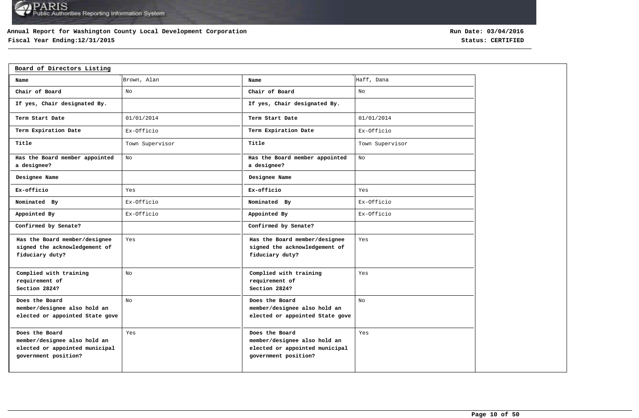## **Annual Report for Washington County Local Development Corporation**

# **Fiscal Year Ending:12/31/2015 Status: CERTIFIED**

| Board of Directors Listing                                                                               |                 |                                                                                                          |                 |
|----------------------------------------------------------------------------------------------------------|-----------------|----------------------------------------------------------------------------------------------------------|-----------------|
| Name                                                                                                     | Brown, Alan     | Name                                                                                                     | Haff, Dana      |
| Chair of Board                                                                                           | No              | Chair of Board                                                                                           | No              |
| If yes, Chair designated By.                                                                             |                 | If yes, Chair designated By.                                                                             |                 |
| Term Start Date                                                                                          | 01/01/2014      | Term Start Date                                                                                          | 01/01/2014      |
| Term Expiration Date                                                                                     | Ex-Officio      | Term Expiration Date                                                                                     | Ex-Officio      |
| Title                                                                                                    | Town Supervisor | Title                                                                                                    | Town Supervisor |
| Has the Board member appointed<br>a designee?                                                            | No              | Has the Board member appointed<br>a designee?                                                            | No              |
| Designee Name                                                                                            |                 | Designee Name                                                                                            |                 |
| Ex-officio                                                                                               | Yes             | Ex-officio                                                                                               | Yes             |
| Nominated By                                                                                             | Ex-Officio      | Nominated By                                                                                             | Ex-Officio      |
| Appointed By                                                                                             | Ex-Officio      | Appointed By                                                                                             | Ex-Officio      |
| Confirmed by Senate?                                                                                     |                 | Confirmed by Senate?                                                                                     |                 |
| Has the Board member/designee<br>signed the acknowledgement of<br>fiduciary duty?                        | Yes             | Has the Board member/designee<br>signed the acknowledgement of<br>fiduciary duty?                        | Yes             |
| Complied with training<br>requirement of<br>Section 2824?                                                | No              | Complied with training<br>requirement of<br>Section 2824?                                                | Yes             |
| Does the Board<br>member/designee also hold an<br>elected or appointed State gove                        | No              | Does the Board<br>member/designee also hold an<br>elected or appointed State gove                        | No              |
| Does the Board<br>member/designee also hold an<br>elected or appointed municipal<br>government position? | Yes             | Does the Board<br>member/designee also hold an<br>elected or appointed municipal<br>government position? | Yes             |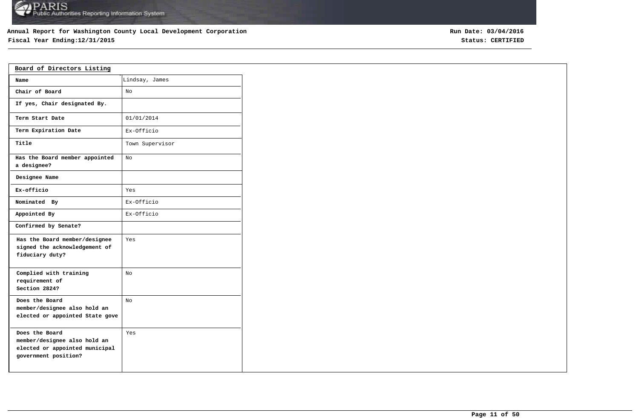## **Annual Report for Washington County Local Development Corporation**

# **Fiscal Year Ending:12/31/2015 Status: CERTIFIED**

| Board of Directors Listing                                                                               |                 |
|----------------------------------------------------------------------------------------------------------|-----------------|
| Name                                                                                                     | Lindsay, James  |
| Chair of Board                                                                                           | No.             |
| If yes, Chair designated By.                                                                             |                 |
| Term Start Date                                                                                          | 01/01/2014      |
| Term Expiration Date                                                                                     | Ex-Officio      |
| Title                                                                                                    | Town Supervisor |
| Has the Board member appointed<br>a designee?                                                            | No              |
| Designee Name                                                                                            |                 |
| Ex-officio                                                                                               | Yes             |
| Nominated By                                                                                             | Ex-Officio      |
| Appointed By                                                                                             | Ex-Officio      |
| Confirmed by Senate?                                                                                     |                 |
| Has the Board member/designee<br>signed the acknowledgement of<br>fiduciary duty?                        | Yes             |
| Complied with training<br>requirement of<br>Section 2824?                                                | No              |
| Does the Board<br>member/designee also hold an<br>elected or appointed State gove                        | No              |
| Does the Board<br>member/designee also hold an<br>elected or appointed municipal<br>government position? | Yes             |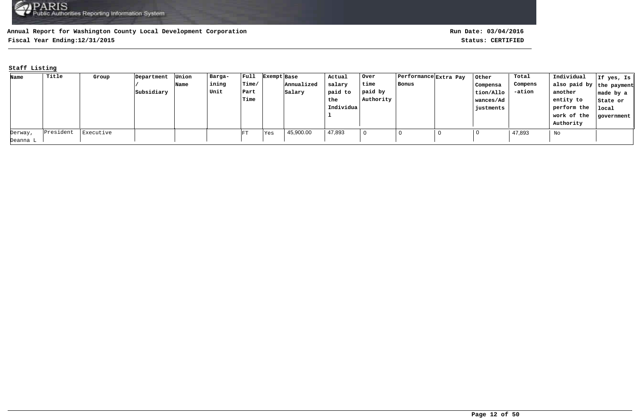**Fiscal Year Ending:12/31/2015 Status: CERTIFIED**

## **Staff Listing**

| Name     | Title     | Group     | Department | Union | Barga- | $ $ Full    | Exempt Base      |            | Actual    | Over      | Performance Extra Pay | Other     | Total   | Individual               | If yes, Is |
|----------|-----------|-----------|------------|-------|--------|-------------|------------------|------------|-----------|-----------|-----------------------|-----------|---------|--------------------------|------------|
|          |           |           |            | Name  | ining  | Time/       |                  | Annualized | salary    | time      | Bonus                 | Compensa  | Compens | also paid by the payment |            |
|          |           |           | Subsidiary |       | Unit   | Part        |                  | Salary     | paid to   | paid by   |                       | tion/Allo | -ation  | another                  | made by a  |
|          |           |           |            |       |        | <b>Time</b> |                  |            | the       | Authority |                       | wances/Ad |         | entity to                | State or   |
|          |           |           |            |       |        |             |                  |            | Individua |           |                       | justments |         | perform the              | local      |
|          |           |           |            |       |        |             |                  |            |           |           |                       |           |         | work of the              | government |
|          |           |           |            |       |        |             |                  |            |           |           |                       |           |         | Authority                |            |
| Derway,  | President | Executive |            |       |        | FT          | <sup>l</sup> Yes | 45,900.00  | 47,893    |           | 0                     |           | 47,893  | No                       |            |
| Deanna L |           |           |            |       |        |             |                  |            |           |           |                       |           |         |                          |            |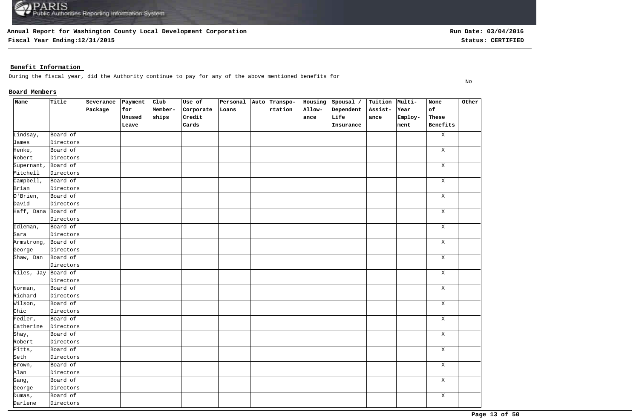**Fiscal Year Ending:12/31/2015 Status: CERTIFIED**

## **Benefit Information**

During the fiscal year, did the Authority continue to pay for any of the above mentioned benefits for

## **Board Members**

| Name                | Title     | Severance | $ $ Payment | Club    | Use of    | Personal Auto Transpo- |         | Housing | Spousal / | Tuition Multi- |         | None         | Other |
|---------------------|-----------|-----------|-------------|---------|-----------|------------------------|---------|---------|-----------|----------------|---------|--------------|-------|
|                     |           | Package   | for         | Member- | Corporate | Loans                  | rtation | Allow-  | Dependent | Assist-        | Year    | of           |       |
|                     |           |           | Unused      | ships   | Credit    |                        |         | ance    | Life      | ance           | Employ- | These        |       |
|                     |           |           | Leave       |         | Cards     |                        |         |         | Insurance |                | ment    | Benefits     |       |
| Lindsay,            | Board of  |           |             |         |           |                        |         |         |           |                |         | $\mathbf{X}$ |       |
| James               | Directors |           |             |         |           |                        |         |         |           |                |         |              |       |
| Henke,              | Board of  |           |             |         |           |                        |         |         |           |                |         | $\mathbf X$  |       |
| Robert              | Directors |           |             |         |           |                        |         |         |           |                |         |              |       |
| Supernant,          | Board of  |           |             |         |           |                        |         |         |           |                |         | Χ            |       |
| Mitchell            | Directors |           |             |         |           |                        |         |         |           |                |         |              |       |
| Campbell,           | Board of  |           |             |         |           |                        |         |         |           |                |         | $\mathbf X$  |       |
| Brian               | Directors |           |             |         |           |                        |         |         |           |                |         |              |       |
| O'Brien,            | Board of  |           |             |         |           |                        |         |         |           |                |         | $\mathbf X$  |       |
| David               | Directors |           |             |         |           |                        |         |         |           |                |         |              |       |
| Haff, Dana Board of |           |           |             |         |           |                        |         |         |           |                |         | $\mathbf X$  |       |
|                     | Directors |           |             |         |           |                        |         |         |           |                |         |              |       |
| Idleman,            | Board of  |           |             |         |           |                        |         |         |           |                |         | Χ            |       |
| Sara                | Directors |           |             |         |           |                        |         |         |           |                |         |              |       |
| Armstrong, Board of |           |           |             |         |           |                        |         |         |           |                |         | X            |       |
| George              | Directors |           |             |         |           |                        |         |         |           |                |         |              |       |
| Shaw, Dan           | Board of  |           |             |         |           |                        |         |         |           |                |         | $\mathbf X$  |       |
|                     | Directors |           |             |         |           |                        |         |         |           |                |         |              |       |
| Niles, Jay Board of |           |           |             |         |           |                        |         |         |           |                |         | $\mathbf X$  |       |
|                     | Directors |           |             |         |           |                        |         |         |           |                |         |              |       |
| Norman,             | Board of  |           |             |         |           |                        |         |         |           |                |         | $\mathbf X$  |       |
| Richard             | Directors |           |             |         |           |                        |         |         |           |                |         |              |       |
| Wilson,             | Board of  |           |             |         |           |                        |         |         |           |                |         | $\mathbf X$  |       |
| Chic                | Directors |           |             |         |           |                        |         |         |           |                |         |              |       |
| Fedler,             | Board of  |           |             |         |           |                        |         |         |           |                |         | $\mathbf X$  |       |
| Catherine           | Directors |           |             |         |           |                        |         |         |           |                |         |              |       |
| Shay,               | Board of  |           |             |         |           |                        |         |         |           |                |         | $\mathbf X$  |       |
| Robert              | Directors |           |             |         |           |                        |         |         |           |                |         |              |       |
| Pitts,              | Board of  |           |             |         |           |                        |         |         |           |                |         | $\mathbf X$  |       |
| Seth                | Directors |           |             |         |           |                        |         |         |           |                |         |              |       |
| Brown,              | Board of  |           |             |         |           |                        |         |         |           |                |         | $\mathbf X$  |       |
| Alan                | Directors |           |             |         |           |                        |         |         |           |                |         |              |       |
| Gang,               | Board of  |           |             |         |           |                        |         |         |           |                |         | $\mathbf X$  |       |
| George              | Directors |           |             |         |           |                        |         |         |           |                |         |              |       |
| Dumas,              | Board of  |           |             |         |           |                        |         |         |           |                |         | $\mathbf X$  |       |
| Darlene             | Directors |           |             |         |           |                        |         |         |           |                |         |              |       |

No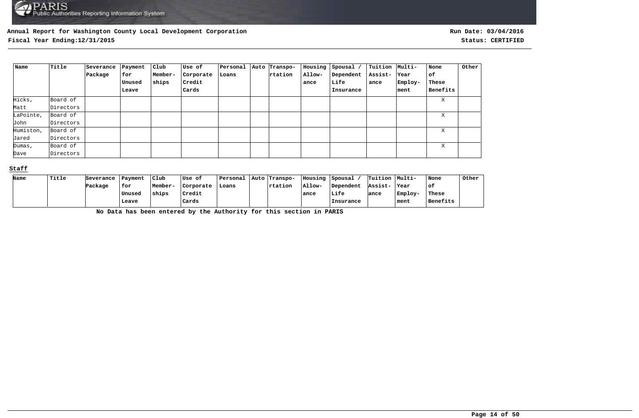**Fiscal Year Ending:12/31/2015 Status: CERTIFIED**

| Name      | Title     | Severance<br>Package | Payment<br>for | Club<br>Member- | Use of<br>Corporate | Personal<br>Loans | Auto Transpo-<br>rtation | Housing<br>Allow- | $ $ Spousal /<br>Dependent | Tuition  Multi-<br>Assist- | Year    | None<br>оf | Other |
|-----------|-----------|----------------------|----------------|-----------------|---------------------|-------------------|--------------------------|-------------------|----------------------------|----------------------------|---------|------------|-------|
|           |           |                      | Unused         | ships           | Credit              |                   |                          | ance              | Life                       | ance                       | Employ- | These      |       |
|           |           |                      | Leave          |                 | Cards               |                   |                          |                   | Insurance                  |                            | ment    | Benefits   |       |
| Hicks,    | Board of  |                      |                |                 |                     |                   |                          |                   |                            |                            |         | X          |       |
| Matt      | Directors |                      |                |                 |                     |                   |                          |                   |                            |                            |         |            |       |
| LaPointe, | Board of  |                      |                |                 |                     |                   |                          |                   |                            |                            |         | X          |       |
| John      | Directors |                      |                |                 |                     |                   |                          |                   |                            |                            |         |            |       |
| Humiston, | Board of  |                      |                |                 |                     |                   |                          |                   |                            |                            |         | X          |       |
| Jared     | Directors |                      |                |                 |                     |                   |                          |                   |                            |                            |         |            |       |
| Dumas,    | Board of  |                      |                |                 |                     |                   |                          |                   |                            |                            |         | X          |       |
| Dave      | Directors |                      |                |                 |                     |                   |                          |                   |                            |                            |         |            |       |

#### **Staff**

| Name | <b>Title</b> | Severance | Payment  | Club    | Use of    | Personal | Auto Transpo- | Housing  | Spousal   | Tuition Multi- |         | None     | Other |
|------|--------------|-----------|----------|---------|-----------|----------|---------------|----------|-----------|----------------|---------|----------|-------|
|      |              | Package   | for      | Member- | Corporate | Loans    | rtation       | $AIlow-$ | Dependent | Assist-        | Year    | ot.      |       |
|      |              |           | ' Unuseo | ships   | Credit    |          |               | ance     | Life      | ance           | Employ- | These    |       |
|      |              |           | Leave    |         | Cards     |          |               |          | Insurance |                | ment    | Benefits |       |

**No Data has been entered by the Authority for this section in PARIS**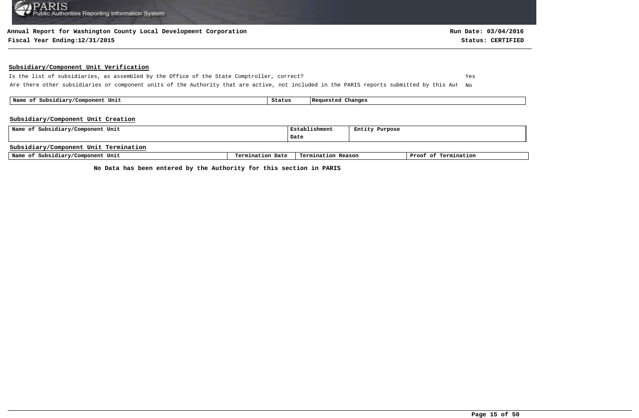#### **Annual Report for Washington County Local Development Corporation**

#### **Fiscal Year Ending:12/31/2015 Status: CERTIFIED**

#### **Subsidiary/Component Unit Verification**

Is the list of subsidiaries, as assembled by the Office of the State Comptroller, correct? Yes Are there other subsidiaries or component units of the Authority that are active, not included in the PARIS reports submitted by this Aut No

 **Name of Subsidiary/Component Unit Status Requested Changes** 

#### **Subsidiary/Component Unit Creation**

| Name of Subsidiary/Component Unit     |                  | Establishment      | Entity Purpose |                      |
|---------------------------------------|------------------|--------------------|----------------|----------------------|
|                                       |                  | Date               |                |                      |
| Subsidiary/Component Unit Termination |                  |                    |                |                      |
| Name of Subsidiary/Component Unit     | Termination Date | Termination Reason |                | Proof of Termination |

**No Data has been entered by the Authority for this section in PARIS**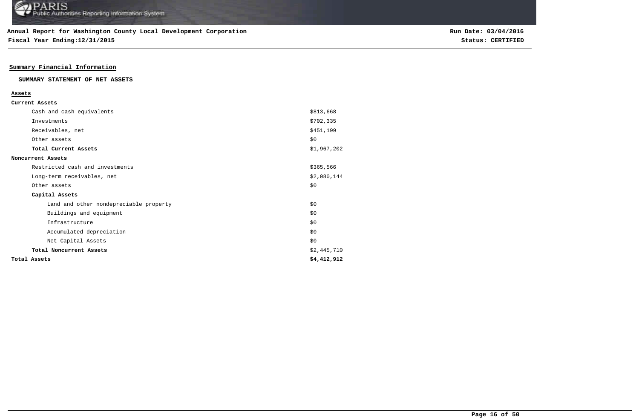**Fiscal Year Ending:12/31/2015 Status: CERTIFIED**

## **Summary Financial Information**

#### **SUMMARY STATEMENT OF NET ASSETS**

| Current Assets                         |             |
|----------------------------------------|-------------|
|                                        |             |
| Cash and cash equivalents              | \$813,668   |
| Investments                            | \$702,335   |
| Receivables, net                       | \$451,199   |
| Other assets                           | \$0         |
| Total Current Assets                   | \$1,967,202 |
| Noncurrent Assets                      |             |
| Restricted cash and investments        | \$365,566   |
| Long-term receivables, net             | \$2,080,144 |
| Other assets                           | \$0         |
| Capital Assets                         |             |
| Land and other nondepreciable property | \$0         |
| Buildings and equipment                | \$0         |
| Infrastructure                         | \$0         |
| Accumulated depreciation               | \$0         |
| Net Capital Assets                     | \$0         |
| Total Noncurrent Assets                | \$2,445,710 |
| Total Assets                           | \$4,412,912 |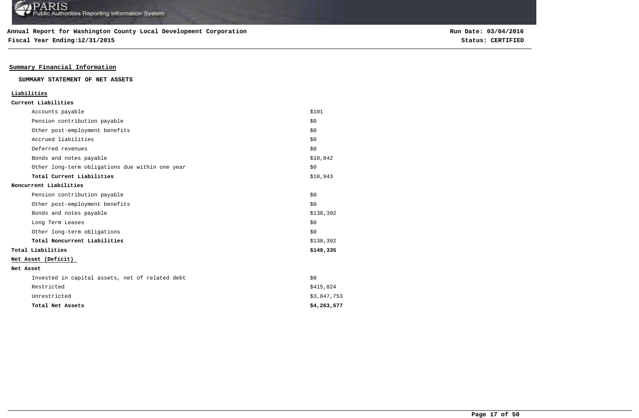**Fiscal Year Ending:12/31/2015 Status: CERTIFIED**

## **Summary Financial Information**

#### **SUMMARY STATEMENT OF NET ASSETS**

| Liabilities                                     |             |
|-------------------------------------------------|-------------|
| Current Liabilities                             |             |
| Accounts payable                                | \$101       |
| Pension contribution payable                    | \$0         |
| Other post-employment benefits                  | \$0         |
| Accrued liabilities                             | \$0         |
| Deferred revenues                               | \$0         |
| Bonds and notes payable                         | \$10,842    |
| Other long-term obligations due within one year | \$0         |
| Total Current Liabilities                       | \$10,943    |
| Noncurrent Liabilities                          |             |
| Pension contribution payable                    | \$0         |
| Other post-employment benefits                  | \$0         |
| Bonds and notes payable                         | \$138,392   |
| Long Term Leases                                | \$0         |
| Other long-term obligations                     | \$0         |
| Total Noncurrent Liabilities                    | \$138,392   |
| Total Liabilities                               | \$149,335   |
| Net Asset (Deficit)                             |             |
| Net Asset                                       |             |
| Invested in capital assets, net of related debt | \$0         |
| Restricted                                      | \$415,824   |
| Unrestricted                                    | \$3,847,753 |
| Total Net Assets                                | \$4,263,577 |
|                                                 |             |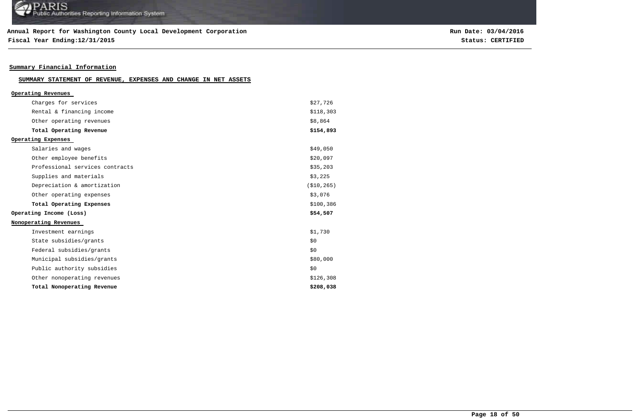**Fiscal Year Ending:12/31/2015 Status: CERTIFIED**

## **Summary Financial Information**

| SUMMARY STATEMENT OF REVENUE, EXPENSES AND CHANGE IN NET ASSETS |  |  |  |  |  |  |  |  |
|-----------------------------------------------------------------|--|--|--|--|--|--|--|--|
|-----------------------------------------------------------------|--|--|--|--|--|--|--|--|

| Operating Revenues              |              |
|---------------------------------|--------------|
| Charges for services            | \$27,726     |
| Rental & financing income       | \$118,303    |
| Other operating revenues        | \$8,864      |
| Total Operating Revenue         | \$154,893    |
| Operating Expenses              |              |
| Salaries and wages              | \$49,050     |
| Other employee benefits         | \$20,097     |
| Professional services contracts | \$35,203     |
| Supplies and materials          | \$3,225      |
| Depreciation & amortization     | ( \$10, 265) |
| Other operating expenses        | \$3,076      |
| Total Operating Expenses        | \$100,386    |
| Operating Income (Loss)         | \$54,507     |
| Nonoperating Revenues           |              |
| Investment earnings             | \$1,730      |
| State subsidies/grants          | \$0          |
| Federal subsidies/grants        | \$0          |
| Municipal subsidies/grants      | \$80,000     |
| Public authority subsidies      | \$0          |
| Other nonoperating revenues     | \$126,308    |
| Total Nonoperating Revenue      | \$208,038    |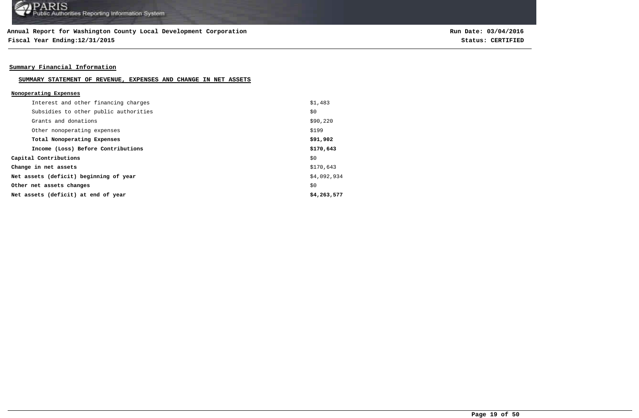**Fiscal Year Ending:12/31/2015 Status: CERTIFIED**

## **Summary Financial Information**

#### **SUMMARY STATEMENT OF REVENUE, EXPENSES AND CHANGE IN NET ASSETS**

| Nonoperating Expenses                  |             |
|----------------------------------------|-------------|
| Interest and other financing charges   | \$1,483     |
| Subsidies to other public authorities  | \$0         |
| Grants and donations                   | \$90,220    |
| Other nonoperating expenses            | \$199       |
| Total Nonoperating Expenses            | \$91,902    |
| Income (Loss) Before Contributions     | \$170,643   |
| Capital Contributions                  | \$0         |
| Change in net assets                   | \$170,643   |
| Net assets (deficit) beginning of year | \$4,092,934 |
| Other net assets changes               | \$0         |
| Net assets (deficit) at end of year    | \$4,263,577 |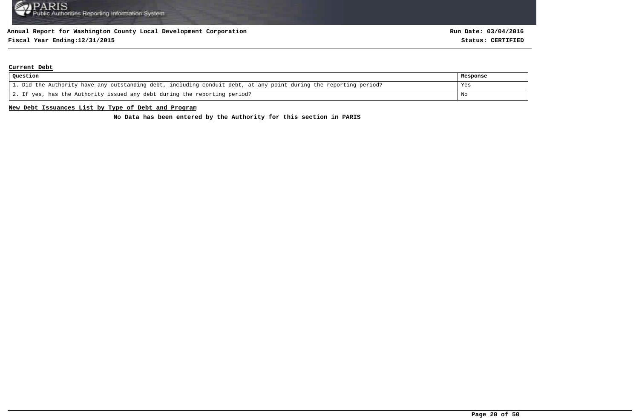## **Fiscal Year Ending:12/31/2015 Status: CERTIFIED**

#### **Current Debt**

| Question                                                                                                          | Response |
|-------------------------------------------------------------------------------------------------------------------|----------|
| 1. Did the Authority have any outstanding debt, including conduit debt, at any point during the reporting period? | Yes      |
| 2. If yes, has the Authority issued any debt during the reporting period?                                         | No       |

#### **New Debt Issuances List by Type of Debt and Program**

**No Data has been entered by the Authority for this section in PARIS**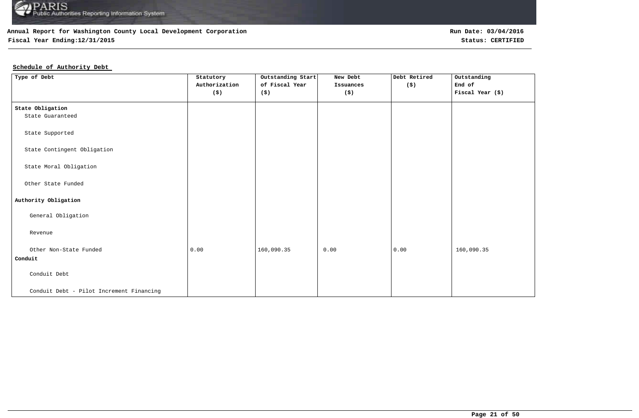

## **Fiscal Year Ending:12/31/2015 Status: CERTIFIED**

## **Schedule of Authority Debt**

| Type of Debt                             | Statutory                   | Outstanding Start | New Debt             | Debt Retired         | Outstanding      |
|------------------------------------------|-----------------------------|-------------------|----------------------|----------------------|------------------|
|                                          | Authorization               | of Fiscal Year    | Issuances            | $(\hat{\mathbf{s}})$ | End of           |
|                                          | $(\boldsymbol{\mathsf{s}})$ | (\$)              | $(\boldsymbol{\xi})$ |                      | Fiscal Year (\$) |
|                                          |                             |                   |                      |                      |                  |
| State Obligation                         |                             |                   |                      |                      |                  |
| State Guaranteed                         |                             |                   |                      |                      |                  |
|                                          |                             |                   |                      |                      |                  |
| State Supported                          |                             |                   |                      |                      |                  |
|                                          |                             |                   |                      |                      |                  |
| State Contingent Obligation              |                             |                   |                      |                      |                  |
|                                          |                             |                   |                      |                      |                  |
| State Moral Obligation                   |                             |                   |                      |                      |                  |
|                                          |                             |                   |                      |                      |                  |
| Other State Funded                       |                             |                   |                      |                      |                  |
|                                          |                             |                   |                      |                      |                  |
| Authority Obligation                     |                             |                   |                      |                      |                  |
| General Obligation                       |                             |                   |                      |                      |                  |
|                                          |                             |                   |                      |                      |                  |
| Revenue                                  |                             |                   |                      |                      |                  |
|                                          |                             |                   |                      |                      |                  |
| Other Non-State Funded                   | 0.00                        | 160,090.35        | 0.00                 | 0.00                 | 160,090.35       |
| Conduit                                  |                             |                   |                      |                      |                  |
|                                          |                             |                   |                      |                      |                  |
| Conduit Debt                             |                             |                   |                      |                      |                  |
|                                          |                             |                   |                      |                      |                  |
| Conduit Debt - Pilot Increment Financing |                             |                   |                      |                      |                  |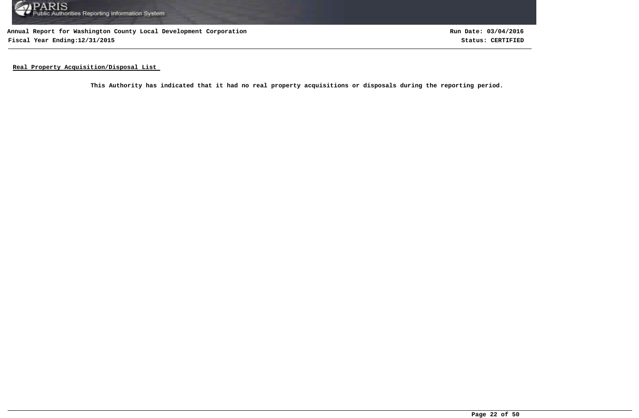

**Annual Report for Washington County Local Development Corporation Fiscal Year Ending:12/31/2015 Status: CERTIFIED**

**Run Date: 03/04/2016**

**Real Property Acquisition/Disposal List** 

**This Authority has indicated that it had no real property acquisitions or disposals during the reporting period.**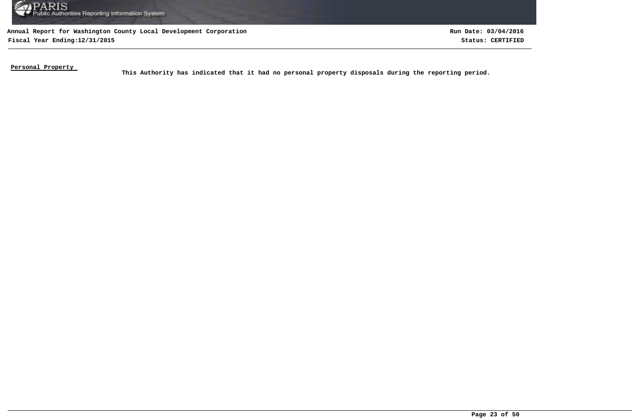

**Fiscal Year Ending:12/31/2015 Status: CERTIFIED Run Date: 03/04/2016**

**Personal Property** 

This Authority has indicated that it had no personal property disposals during the reporting period.<br>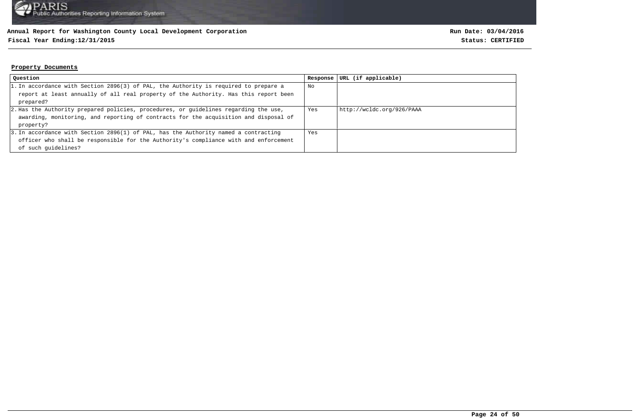# **Fiscal Year Ending:12/31/2015 Status: CERTIFIED**

#### **Property Documents**

| Question                                                                             | Response | URL (if applicable)       |
|--------------------------------------------------------------------------------------|----------|---------------------------|
| 1. In accordance with Section 2896(3) of PAL, the Authority is required to prepare a | No       |                           |
| report at least annually of all real property of the Authority. Has this report been |          |                           |
| prepared?                                                                            |          |                           |
| 2. Has the Authority prepared policies, procedures, or guidelines regarding the use, | Yes      | http://wcldc.org/926/PAAA |
| awarding, monitoring, and reporting of contracts for the acquisition and disposal of |          |                           |
| property?                                                                            |          |                           |
| 3. In accordance with Section 2896(1) of PAL, has the Authority named a contracting  | Yes      |                           |
| officer who shall be responsible for the Authority's compliance with and enforcement |          |                           |
| of such quidelines?                                                                  |          |                           |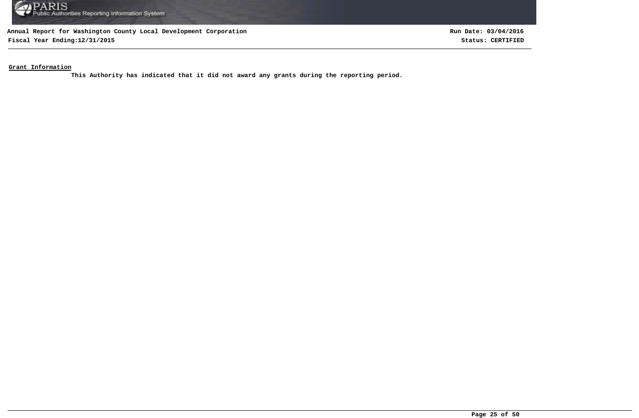

**Fiscal Year Ending:12/31/2015 Status: CERTIFIED**

**Run Date: 03/04/2016**

**Grant Information**

**This Authority has indicated that it did not award any grants during the reporting period.**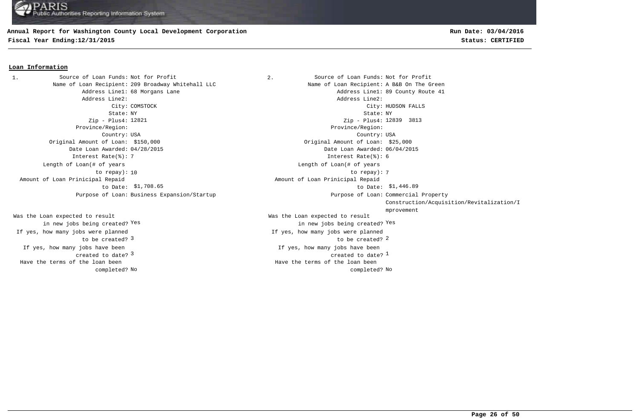## **Annual Report for Washington County Local Development Corporation**

**Fiscal Year Ending:12/31/2015 Status: CERTIFIED**

# **Run Date: 03/04/2016**

#### **Loan Information**

1. Source of Loan Funds: Not for Profit  $\qquad \qquad$  2. Source of Loan Funds: Not for Profit Address Line2: Address Line2: Province/Region: Province/Region: Original Amount of Loan: \$150,000 Original Amount of Loan: \$25,000 Date Loan Awarded: 04/28/2015 Date Loan Awarded: 06/04/2015 Interest Rate(%): 7 Interest Rate(%): 6 Length of Loan(# of years to repay): Amount of Loan Prinicipal Repaid to Date: \$1,708.65 Purpose of Loan: Business Expansion/Startup

If yes, how many jobs have been created to date? Was the Loan expected to result in new jobs being created? Yes If yes, how many jobs were planned to be created? 3 Have the terms of the loan been completed?

Name of Loan Recipient: 209 Broadway Whitehall LLC Name of Loan Recipient: A B&B On The Green Address Line1: 68 Morgans Lane Address Line1: 68 County Route 41 City: COMSTOCK City: HUDSON FALLS State: NY State: NY Zip - Plus4: Zip - Plus4: 3813 12821 12839 Country: USA Country: USA  $\sim$  3  $\sim$  2  $\sim$  2  $\sim$  2  $\sim$  2  $\sim$  2  $\sim$  2  $\sim$  2  $\sim$  2  $\sim$  2  $\sim$  2  $\sim$  2  $\sim$  2  $\sim$  2  $\sim$  2  $\sim$  2  $\sim$  2  $\sim$  2  $\sim$  2  $\sim$  2  $\sim$  2  $\sim$  2  $\sim$  2  $\sim$  2  $\sim$  2  $\sim$  2  $\sim$  2  $\sim$  2  $\sim$  2  $\sim$  2  $\sim$  2  $\sim$ If yes, how many jobs have been  $\sim$  3  $\sim$  2012  $\sim$  2013  $\sim$  2013  $\sim$  2013  $\sim$  2014  $\sim$  2014  $\sim$  2014  $\sim$  2014  $\sim$  2014  $\sim$  2014  $\sim$  2014  $\sim$  2014  $\sim$  2014  $\sim$  2014  $\sim$  2014  $\sim$  2014  $\sim$  2014  $\sim$  2014  $\sim$  2014  $\sim$  2014  $\sim$  2014  $\sim$ Was the Loan expected to result in new jobs being created? Yes Yes If yes, how many jobs were planned 10 to repay): 7 Length of Loan(# of years \$1,708.65 \$1,446.89 to Date: Amount of Loan Prinicipal Repaid Purpose of Loan: Commercial Property Construction/Acquisition/Revitalization/I mprovement No No completed? Have the terms of the loan been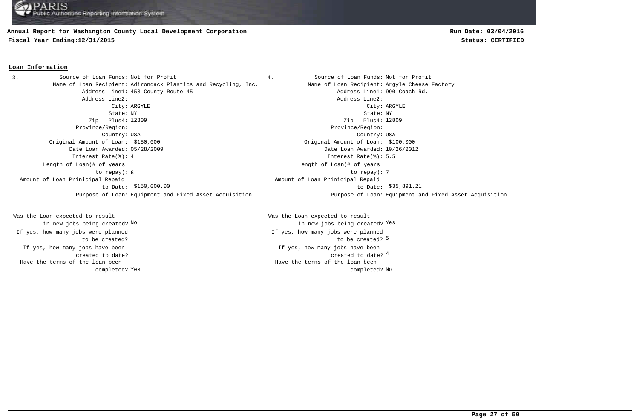#### **Annual Report for Washington County Local Development Corporation**

**Fiscal Year Ending:12/31/2015 Status: CERTIFIED**

### **Loan Information**

3. Source of Loan Funds: Not for Profit  $\begin{array}{ccc} 3. & 4. &$  Source of Loan Funds: Not for Profit Name of Loan Recipient: Adirondack Plastics and Recycling, Inc. Name of Loan Recipient: Argyle Cheese Factory Address Line1: 453 County Route 45 Address Line1: 990 Coach Rd. Address Line2: Address Line2: City: ARGYLE City: ARGYLE State: NY State: NY Zip - Plus4: 12809 Province/Region: Province/Region: Country: USA Country: USA Original Amount of Loan: \$150,000 Original Amount of Loan: \$100,000 Date Loan Awarded: 05/28/2009 Date Loan Awarded: 10/26/2012 Interest Rate(%): 4 Interest Rate(%): 5.5 6 7 to repay): Length of Loan(# of years to repay): \$150,000.00 \$35,891.21 to Date: Amount of Loan Prinicipal Repaid to Date:

If yes, how many jobs have been created to date? Was the Loan expected to result in new jobs being created? No If yes, how many jobs were planned to be created? Have the terms of the loan been completed? **Run Date: 03/04/2016**

Zip - Plus4: 12809 Length of Loan(# of years Amount of Loan Prinicipal Repaid Purpose of Loan: Equipment and Fixed Asset Acquisition Purpose of Loan: Equipment and Fixed Asset Acquisition

> 4 created to date? If yes, how many jobs have been to be created? 5 Was the Loan expected to result new jobs being created? <sup>Yes</sup> in new jobs being created? <sup>Yes</sup> If yes, how many jobs were planned Yes and the completed? No completed? No Have the terms of the loan been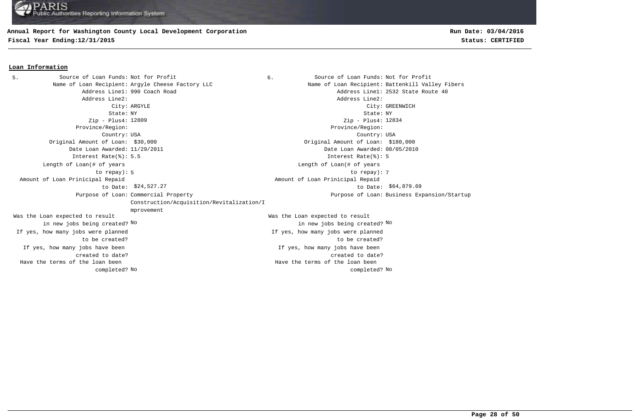### **Annual Report for Washington County Local Development Corporation**

**Fiscal Year Ending:12/31/2015 Status: CERTIFIED**

# **Run Date: 03/04/2016**

#### **Loan Information**

5. Source of Loan Funds: Not for Profit  $\begin{array}{ccc} 6. & \hspace{1.5cm} & \hspace{1.5cm} & \hspace{1.5cm} & \hspace{1.5cm} & \hspace{1.5cm} & \hspace{1.5cm} & \hspace{1.5cm} & \hspace{1.5cm} & \hspace{1.5cm} & \hspace{1.5cm} & \hspace{1.5cm} & \hspace{1.5cm} & \hspace{1.5cm} & \hspace{1.5cm} & \hspace{1.5cm} & \hspace{1.5cm} & \hspace{1.5cm} &$ Name of Loan Recipient: Argyle Cheese Factory LLC Name of Loan Recipient: Battenkill Valley Fibers Address Line1: 990 Coach Road and Address Line1: 2532 State Route 40 Address Line2: Address Line2: City: ARGYLE City: GREENWICH State: NY State: NY Zip - Plus4: 12809 Province/Region: Province/Region: Country: USA Country: USA If yes, how many jobs have been created to date? If yes, how many jobs have been created to date? Original Amount of Loan: \$30,000 Original Amount of Loan: \$180,000 Date Loan Awarded: 11/29/2011 Date Loan Awarded: 08/05/2010 Was the Loan expected to result in new jobs being created? No Was the Loan expected to result in new jobs being created? No No Zip - Plus4: 12834 Interest Rate(%): 5.5 Interest Rate(%): 5 If yes, how many jobs were planned to be created? If yes, how many jobs were planned to be created? 5 7 to repay): Length of Loan(# of years to repay): Length of Loan(# of years \$24,527.27 \$64,879.69 to Date: Amount of Loan Prinicipal Repaid to Date: Amount of Loan Prinicipal Repaid Purpose of Loan: Commercial Property Construction/Acquisition/Revitalization/I mprovement Purpose of Loan: Business Expansion/Startup No No completed? Have the terms of the loan been completed? Have the terms of the loan been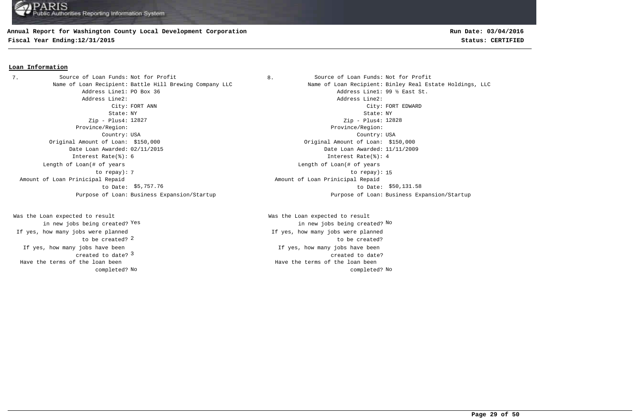## **Annual Report for Washington County Local Development Corporation**

**Fiscal Year Ending:12/31/2015 Status: CERTIFIED**

### **Loan Information**

7. Source of Loan Funds: Not for Profit  $\begin{array}{ccc} 8. & \hspace{1.5cm} & \hspace{1.5cm} & \hspace{1.5cm} & \hspace{1.5cm} & \hspace{1.5cm} & \hspace{1.5cm} & \hspace{1.5cm} & \hspace{1.5cm} & \hspace{1.5cm} & \hspace{1.5cm} & \hspace{1.5cm} & \hspace{1.5cm} & \hspace{1.5cm} & \hspace{1.5cm} & \hspace{1.5cm} & \hspace{1.5cm} & \hspace{1.5cm} &$ Address Line1: PO Box 36 Address Line1: 99 % East St. Address Line2: Address Line2: State: NY State: NY Zip - Plus4: 12827 Province/Region: Province/Region: Country: USA Country: USA Original Amount of Loan: \$150,000 Original Amount of Loan: \$150,000 Date Loan Awarded: 02/11/2015 Date Loan Awarded: 11/11/2009 Interest Rate(%): 6 Interest Rate(%): 4 Length of Loan(# of years to repay): Amount of Loan Prinicipal Repaid to Date: \$5,757.76

created to date? <sup>3</sup> If yes, how many jobs have been to be created? 2 Was the Loan expected to result in new jobs being created? Yes If yes, how many jobs were planned Have the terms of the loan been completed?

**Run Date: 03/04/2016**

Name of Loan Recipient: Battle Hill Brewing Company LLC Name of Loan Recipient: Binley Real Estate Holdings, LLC City: FORT ANN City: FORT EDWARD Zip - Plus4: 12828 The contract of the contract of the contract of the contract of the contract of the contract of the contract of the contract of the contract of the contract of the contract of the contract of the contract of the contract o Length of Loan(# of years \$5,757.76 \$50,131.58 to Date: Amount of Loan Prinicipal Repaid Purpose of Loan: Business Expansion/Startup Purpose of Loan: Business Expansion/Startup

> If yes, how many jobs have been created to date? Was the Loan expected to result Yes the contract of the contract of the contract of the contract of the contract of  $\mathbb{N}^{\mathsf{O}}$ If yes, how many jobs were planned to be created? No No completed? Have the terms of the loan been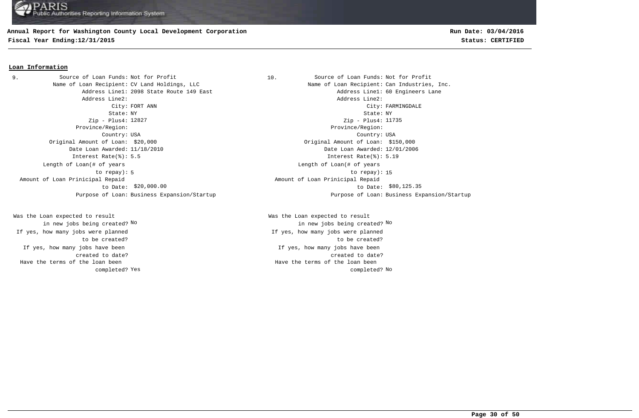# **Annual Report for Washington County Local Development Corporation**

**Fiscal Year Ending:12/31/2015 Status: CERTIFIED**

# **Run Date: 03/04/2016**

#### **Loan Information**

Name of Loan Recipient: CV Land Holdings, LLC Name of Loan Recipient: Can Industries, Inc. Address Line2: Address Line2: State: NY State: NY Zip - Plus4: 12827 Province/Region: Province/Region: Country: USA Country: USA Original Amount of Loan: \$20,000 Original Amount of Loan: \$150,000 Date Loan Awarded: 11/18/2010 Date Loan Awarded: 12/01/2006 Interest Rate(%): 5.5 Interest Rate(%): 5.19 Length of Loan(# of years to repay): Amount of Loan Prinicipal Repaid to Date: \$20,000.00 9. Source of Loan Funds: Not for Profit

If yes, how many jobs have been created to date? Was the Loan expected to result in new jobs being created? No If yes, how many jobs were planned to be created? Have the terms of the loan been completed?

10. Source of Loan Funds: Not for Profit Address Line1: 2098 State Route 149 East Address Line1: 60 Engineers Lane City: FORT ANN City: FARMINGDALE Zip - Plus4: 11735 5 to repay): 15 Length of Loan(# of years  $$20,000.00$   $$60,125.35$  Amount of Loan Prinicipal Repaid Purpose of Loan: Business Expansion/Startup Purpose of Loan: Business Expansion/Startup

> If yes, how many jobs have been created to date? Was the Loan expected to result in new jobs being created? No No If yes, how many jobs were planned to be created? Yes and the completed? No completed? No Have the terms of the loan been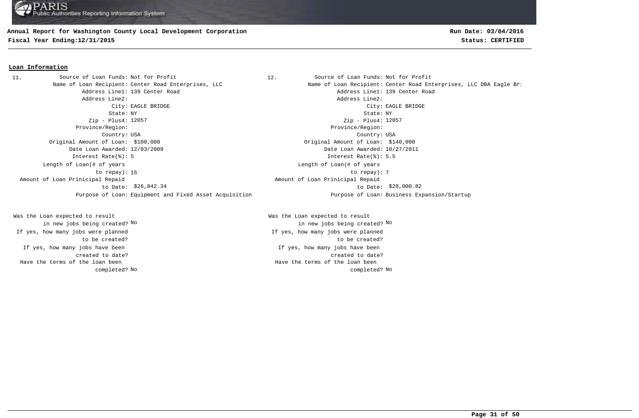#### **Annual Report for Washington County Local Development Corporation**

**Fiscal Year Ending:12/31/2015 Status: CERTIFIED**

#### **Loan Information**

Address Line1: 139 Center Road and Address Line1: 139 Center Road Address Line2: Address Line2: City: EAGLE BRIDGE City: EAGLE BRIDGE State: NY State: NY Zip - Plus4: 12057 Province/Region: Province/Region: Country: USA Country: USA Original Amount of Loan: \$100,000 Original Amount of Loan: \$140,000 Date Loan Awarded: 12/03/2009 Date Loan Awarded: 10/27/2011 Interest Rate(%): 5 Interest Rate(%): 5.5 15 to repay): 7 Length of Loan(# of years to repay): Amount of Loan Prinicipal Repaid to Date: \$26,842.34 11. Source of Loan Funds: Not for Profit

If yes, how many jobs have been created to date? Was the Loan expected to result in new jobs being created? No If yes, how many jobs were planned to be created? Have the terms of the loan been completed?

12. Source of Loan Funds: Not for Profit Name of Loan Recipient: Center Road Enterprises, LLC Name of Loan Recipient: Center Road Enterprises, LLC DBA Eagle Bri Zip - Plus4: 12057 Length of Loan(# of years \$26,842.34 \$28,000.82 to Date: Amount of Loan Prinicipal Repaid Purpose of Loan: Equipment and Fixed Asset Acquisition Purpose of Loan: Business Expansion/Startup

> If yes, how many jobs have been created to date? Was the Loan expected to result in new jobs being created? No No If yes, how many jobs were planned to be created? No No completed? Have the terms of the loan been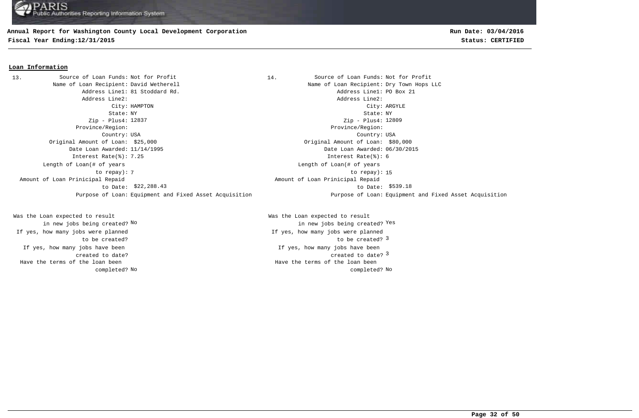### **Annual Report for Washington County Local Development Corporation**

**Fiscal Year Ending:12/31/2015 Status: CERTIFIED**

#### **Loan Information**

13. Source of Loan Funds: Not for Profit **Source of Loan Funds: Not for Profit** Name of Loan Recipient: David Wetherell Name of Loan Recipient: Dry Town Hops LLC Address Line1: 81 Stoddard Rd. Address Line1: PO Box 21 Address Line2: Address Line2: City: HAMPTON City: ARGYLE State: NY State: NY Zip - Plus4: 12837 Province/Region: Province/Region: Country: USA Country: USA Original Amount of Loan: \$25,000 Original Amount of Loan: \$80,000 Date Loan Awarded: 11/14/1995 Date Loan Awarded: 06/30/2015 Zip - Plus4: 12809 Interest Rate(%): 7.25 Interest Rate(%): 6 The contract of the contract of the contract of the contract of the contract of the contract of the contract of the contract of the contract of the contract of the contract of the contract of the contract of the contract o Length of Loan(# of years to repay): Length of Loan(# of years \$22,288.43 \$539.18 to Date: Amount of Loan Prinicipal Repaid to Date: \$22,288.43 Amount of Loan Prinicipal Repaid Purpose of Loan: Equipment and Fixed Asset Acquisition Purpose of Loan: Equipment and Fixed Asset Acquisition

If yes, how many jobs have been created to date? Was the Loan expected to result in new jobs being created? No If yes, how many jobs were planned to be created? Have the terms of the loan been completed?

created to date? 3 If yes, how many jobs have been to be created? 3 Was the Loan expected to result new jobs being created? <sup>Yes</sup> in new jobs being created? <sup>Yes</sup> If yes, how many jobs were planned No No completed? Have the terms of the loan been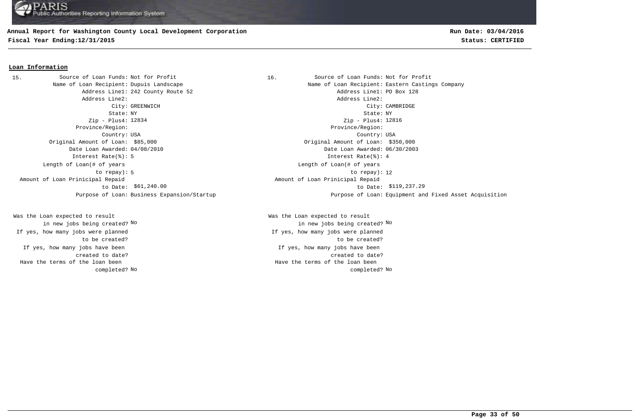## **Annual Report for Washington County Local Development Corporation**

**Fiscal Year Ending:12/31/2015 Status: CERTIFIED**

# **Run Date: 03/04/2016**

#### **Loan Information**

15. Source of Loan Funds: Not for Profit 16. Source of Loan Funds: Not for Profit Address Line2: Address Line2: Zip - Plus4: Zip - Plus4: Province/Region: Province/Region: Original Amount of Loan: \$85,000 Original Amount of Loan: \$350,000 Date Loan Awarded: 04/08/2010 Date Loan Awarded: 06/30/2003 Interest Rate(%): 5 Interest Rate(%): 4 Length of Loan(# of years to repay): Amount of Loan Prinicipal Repaid to Date: \$61,240.00

If yes, how many jobs have been created to date? Was the Loan expected to result in new jobs being created? No If yes, how many jobs were planned to be created? Have the terms of the loan been completed?

Name of Loan Recipient: Dupuis Landscape Name of Loan Recipient: Eastern Castings Company Address Line1: 242 County Route 52 and the set of the county Route 52 and the county Route 52 and the county Route 52 City: GREENWICH City: CAMBRIDGE State: NY State: NY Country: USA Country: USA Zip - Plus4: 12816 5 to repay): 12 Length of Loan(# of years \$61,240.00 to Date: \$119,237.29 Amount of Loan Prinicipal Repaid Purpose of Loan: Business Expansion/Startup Purpose of Loan: Equipment and Fixed Asset Acquisition

> If yes, how many jobs have been created to date? Was the Loan expected to result in new jobs being created? No No If yes, how many jobs were planned to be created? No No completed? Have the terms of the loan been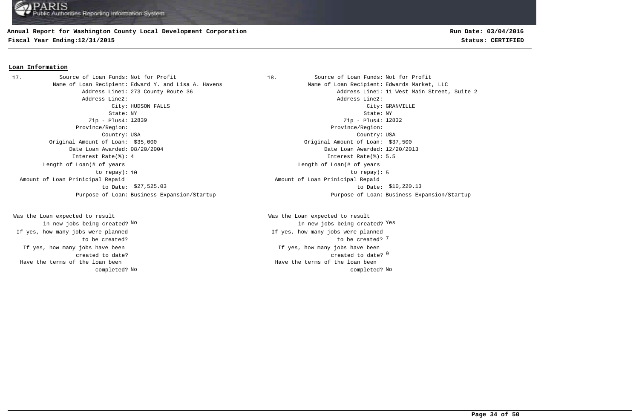### **Annual Report for Washington County Local Development Corporation**

**Fiscal Year Ending:12/31/2015 Status: CERTIFIED**

# **Run Date: 03/04/2016**

#### **Loan Information**

Name of Loan Recipient: Edward Y. and Lisa A. Havens Name States Name of Loan Recipient: Edwards Market, LLC Address Line2: Address Line2: State: NY State: NY Zip - Plus4: 12839 Province/Region: Province/Region: Country: USA Country: USA Original Amount of Loan: \$35,000 Original Amount of Loan: \$37,500 Date Loan Awarded: 08/20/2004 Date Loan Awarded: 12/20/2013 Interest Rate(%): 4 Interest Rate(%): 5.5 Length of Loan(# of years to repay): Amount of Loan Prinicipal Repaid to Date: \$27,525.03 17. Source of Loan Funds: Not for Profit

If yes, how many jobs have been created to date? Was the Loan expected to result in new jobs being created? No If yes, how many jobs were planned to be created? Have the terms of the loan been completed?

18. Source of Loan Funds: Not for Profit Address Line1: 273 County Route 36 Address Line1: 11 West Main Street, Suite 2 City: HUDSON FALLS City: GRANVILLE Zip - Plus4: 12832 10 to repay): 5 Length of Loan(# of years \$27,525.03 \$10,220.13 to Date: Amount of Loan Prinicipal Repaid Purpose of Loan: Business Expansion/Startup Purpose of Loan: Business Expansion/Startup

> created to date? <sup>9</sup> If yes, how many jobs have been to be created? 7 Was the Loan expected to result new jobs being created? <sup>Yes</sup> in new jobs being created? <sup>Yes</sup> If yes, how many jobs were planned No No completed? Have the terms of the loan been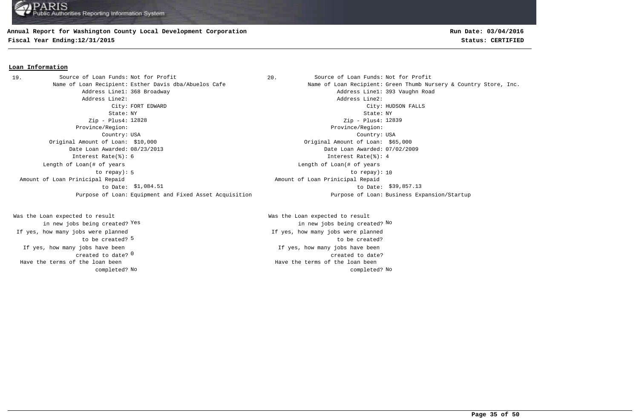#### **Annual Report for Washington County Local Development Corporation**

**Fiscal Year Ending:12/31/2015 Status: CERTIFIED**

# **Run Date: 03/04/2016**

#### **Loan Information**

Address Line1: 368 Broadway Address Line1: 393 Vaughn Road Address Line2: Address Line2: City: FORT EDWARD City: HUDSON FALLS State: NY State: NY Zip - Plus4: 12828 Province/Region: Province/Region: Country: USA Country: USA Original Amount of Loan: \$10,000 Original Amount of Loan: \$65,000 Date Loan Awarded: 08/23/2013 Date Loan Awarded: 07/02/2009 Interest Rate(%): 6 Interest Rate(%): 4 5 10 to repay): 10 Length of Loan(# of years to repay): Amount of Loan Prinicipal Repaid to Date: Purpose of Loan: Equipment and Fixed Asset Acquisition Purpose of Loan: Business Expansion/Startup 19. Source of Loan Funds: Not for Profit

created to date? <sup>0</sup> If yes, how many jobs have been to be created? 5 Was the Loan expected to result in new jobs being created? Yes If yes, how many jobs were planned Have the terms of the loan been completed?

20. Source of Loan Funds: Not for Profit Name of Loan Recipient: Esther Davis dba/Abuelos Cafe Name Name of Loan Recipient: Green Thumb Nursery & Country Store, Inc. Zip - Plus4: 12839 Length of Loan(# of years \$1,084.51 \$39,857.13 to Date: Amount of Loan Prinicipal Repaid

> If yes, how many jobs have been created to date? Was the Loan expected to result Yes the contraction of the contraction of the contraction of the contraction of  $\mathbb{N}^{\infty}$  and  $\mathbb{N}^{\infty}$ If yes, how many jobs were planned to be created? No No completed? Have the terms of the loan been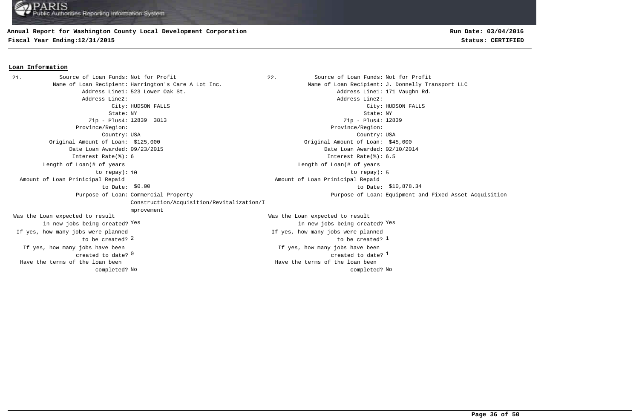#### **Annual Report for Washington County Local Development Corporation**

**Fiscal Year Ending:12/31/2015 Status: CERTIFIED**

#### **Loan Information**

22. Source of Loan Funds: Not for Profit Name of Loan Recipient: Harrington's Care A Lot Inc. Name of Loan Recipient: J. Donnelly Transport LLC Address Line1: 523 Lower Oak St. Address Line1: 171 Vaughn Rd. Address Line2: Address Line2: City: HUDSON FALLS City: HUDSON FALLS State: NY State: NY Zip - Plus4: 12839 3813 Province/Region: Province/Region: Country: USA Country: USA  $\sim$  0  $^{\circ}$  created to date?  $^{\circ}$ If yes, how many jobs have been created to date? 0 If yes, how many jobs have been Original Amount of Loan: \$125,000 Original Amount of Loan: \$45,000 Date Loan Awarded: 09/23/2015 Date Loan Awarded: 02/10/2014  $2$  to be created?  $\frac{1}{2}$ Was the Loan expected to result in new jobs being created? Yes Was the Loan expected to result in new jobs being created? Yes Yes Zip - Plus4: 12839 Interest Rate(%): 6 Interest Rate(%): 6.5 If yes, how many jobs were planned to be created? If yes, how many jobs were planned 10 to repay): 5 Length of Loan(# of years to repay): Length of Loan(# of years  $$0.00$   $$10,878.34$  Amount of Loan Prinicipal Repaid to Date: Amount of Loan Prinicipal Repaid Purpose of Loan: Commercial Property Construction/Acquisition/Revitalization/I mprovement Purpose of Loan: Equipment and Fixed Asset Acquisition No No completed? Have the terms of the loan been completed? Have the terms of the loan been 21. Source of Loan Funds: Not for Profit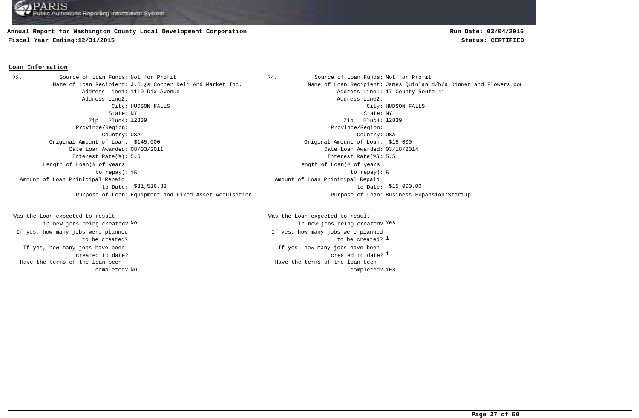#### **Annual Report for Washington County Local Development Corporation**

**Fiscal Year Ending:12/31/2015 Status: CERTIFIED**

#### **Loan Information**

23. Source of Loan Funds: Not for Profit  $24.$  Source of Loan Funds: Not for Profit Address Line1: 1110 Dix Avenue Address Line1: 17 County Route 41 Address Line2: Address Line2: City: HUDSON FALLS City: HUDSON FALLS State: NY State: NY Zip - Plus4: 12839 Province/Region: Province/Region: Country: USA Country: USA Original Amount of Loan: \$145,000 Original Amount of Loan: \$15,000 Date Loan Awarded: 08/03/2011 Date Loan Awarded: 03/18/2014 Interest Rate(%): 5.5 Interest Rate(%): 5.5 15 to repay): 5 Length of Loan(# of years to repay): Amount of Loan Prinicipal Repaid to Date: \$31,516.83 Purpose of Loan: Equipment and Fixed Asset Acquisition Purpose of Loan: Business Expansion/Startup

If yes, how many jobs have been created to date? Was the Loan expected to result in new jobs being created? No If yes, how many jobs were planned to be created? Have the terms of the loan been completed?

Name of Loan Recipient: J.C.¿s Corner Deli And Market Inc. Name of Loan Recipient: James Quinlan d/b/a Dinner and Flowers.com Zip - Plus4: 12839 Length of Loan(# of years \$31,516.83 \$15,000.00 to Date: Amount of Loan Prinicipal Repaid

> created to date?  $^{\rm 1}$ If yes, how many jobs have been to be created? 1 Was the Loan expected to result new jobs being created? <sup>Yes</sup> in new jobs being created? <sup>Yes</sup> If yes, how many jobs were planned No completed? Yes a set of the completed? Yes Have the terms of the loan been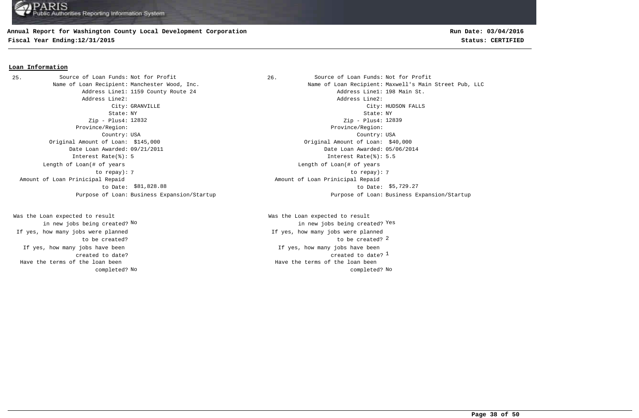## **Annual Report for Washington County Local Development Corporation**

**Fiscal Year Ending:12/31/2015 Status: CERTIFIED**

# **Run Date: 03/04/2016**

#### **Loan Information**

25. Source of Loan Funds: Not for Profit and Source of Loan Funds: Not for Profit Address Line2: Address Line2: Zip - Plus4: 12832 Province/Region: Province/Region: Original Amount of Loan: \$145,000 Original Amount of Loan: \$40,000 Date Loan Awarded: 09/21/2011 Date Loan Awarded: 05/06/2014 Interest Rate(%): 5 Interest Rate(%): 5.5 Length of Loan(# of years to repay): Amount of Loan Prinicipal Repaid to Date: \$81,828.88

If yes, how many jobs have been created to date? Was the Loan expected to result in new jobs being created? No If yes, how many jobs were planned to be created? Have the terms of the loan been completed?

Name of Loan Recipient: Manchester Wood, Inc. Name of Loan Recipient: Maxwell's Main Street Pub, LLC Address Line1: 1159 County Route 24 Address Line1: 198 Main St. City: GRANVILLE City: HUDSON FALLS State: NY State: NY Country: USA Country: USA Zip - Plus4: 12839 7 7 to repay): Length of Loan(# of years \$81,828.88 \$5,729.27 to Date: Amount of Loan Prinicipal Repaid Purpose of Loan: Business Expansion/Startup Purpose of Loan: Business Expansion/Startup

> created to date?  $^{\rm 1}$ If yes, how many jobs have been to be created? 2 Was the Loan expected to result new jobs being created? <sup>Yes</sup> in new jobs being created? <sup>Yes</sup> If yes, how many jobs were planned No No completed? Have the terms of the loan been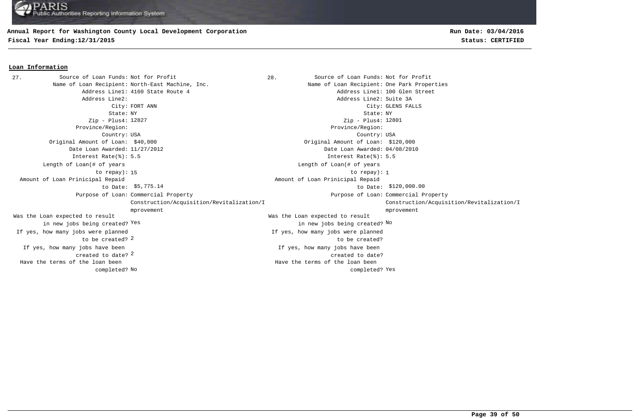### **Annual Report for Washington County Local Development Corporation**

**Fiscal Year Ending:12/31/2015 Status: CERTIFIED**

**Loan Information**

# **Run Date: 03/04/2016**

#### 28. Source of Loan Funds: Not for Profit Name of Loan Recipient: North-East Machine, Inc. Name of Loan Recipient: One Park Properties Address Line1: 4160 State Route 4 Address Line1: 100 Glen Street Address Line2: Address Line2: Suite 3A City: FORT ANN City: GLENS FALLS State: NY State: NY Zip - Plus4: 12827 Province/Region: Province/Region: Country: USA Country: USA 2 created to date? If yes, how many jobs have been If yes, how many jobs have been created to date? Original Amount of Loan: \$40,000 Original Amount of Loan: \$120,000 Date Loan Awarded: 11/27/2012 Date Loan Awarded: 04/08/2010 to be created? 2 Was the Loan expected to result in new jobs being created? Yes Was the Loan expected to result Yes the contract of the contract of the contract of the contract of the contract of  $\mathbb{N}^{\mathsf{O}}$ Zip - Plus4: 12801 Interest Rate(%): 5.5 Interest Rate(%): 5.5 If yes, how many jobs were planned If yes, how many jobs were planned to be created? 15 to repay): 1 Length of Loan(# of years to repay): Length of Loan(# of years \$5,775.14 \$120,000.00 to Date: Amount of Loan Prinicipal Repaid to Date: \$5,775.14 Amount of Loan Prinicipal Repaid Purpose of Loan: Commercial Property **Example 2** and the community of Loan: Purpose of Loan: Construction/Acquisition/Revitalization/I mprovement Purpose of Loan: Commercial Property Construction/Acquisition/Revitalization/I mprovement No completed? Yes a set of the completed? Yes Have the terms of the loan been completed? Have the terms of the loan been 27. Source of Loan Funds: Not for Profit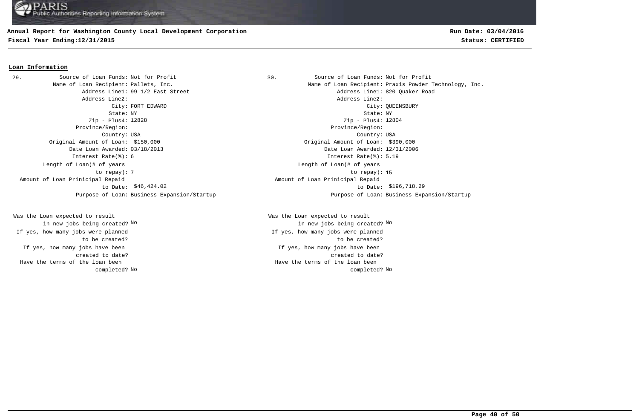# **Annual Report for Washington County Local Development Corporation**

**Fiscal Year Ending:12/31/2015 Status: CERTIFIED**

# **Run Date: 03/04/2016**

#### **Loan Information**

Address Line2: Address Line2: Zip - Plus4: 12828 Province/Region: Province/Region: Country: USA Country: USA Original Amount of Loan: \$150,000 Original Amount of Loan: \$390,000 Date Loan Awarded: 03/18/2013 Date Loan Awarded: 12/31/2006 Interest Rate(%): 6 Interest Rate(%): 5.19 Length of Loan(# of years to repay): Amount of Loan Prinicipal Repaid to Date: 29. Source of Loan Funds: Not for Profit

If yes, how many jobs have been created to date? Was the Loan expected to result in new jobs being created? No If yes, how many jobs were planned to be created? Have the terms of the loan been completed?

Source of Loan Funds: Not for Profit Source of Loan Funds: Not for Profit Name of Loan Recipient: Pallets, Inc. The Same of Loan Recipient: Praxis Powder Technology, Inc. Address Line1: 99 1/2 East Street Address Line1: 820 Quaker Road City: FORT EDWARD City: QUEENSBURY State: NY State: NY Zip - Plus4: 12804 The contract of the contract of the contract of the contract of the contract of the contract of the contract of the contract of the contract of the contract of the contract of the contract of the contract of the contract o Length of Loan(# of years \$46,424.02 to Date: \$196,718.29 Amount of Loan Prinicipal Repaid Purpose of Loan: Business Expansion/Startup Purpose of Loan: Business Expansion/Startup

> If yes, how many jobs have been created to date? Was the Loan expected to result in new jobs being created? No No If yes, how many jobs were planned to be created? No No completed? Have the terms of the loan been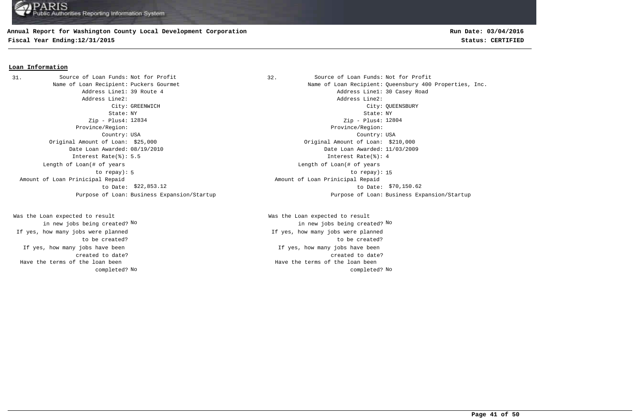## **Annual Report for Washington County Local Development Corporation**

**Fiscal Year Ending:12/31/2015 Status: CERTIFIED**

# **Run Date: 03/04/2016**

#### **Loan Information**

31. Source of Loan Funds: Not for Profit (32. Source of Loan Funds: Not for Profit Address Line2: Address Line2: Zip - Plus4: 12834 Province/Region: Province/Region: Original Amount of Loan: \$25,000 Original Amount of Loan: \$210,000 Date Loan Awarded: 08/19/2010 Date Loan Awarded: 11/03/2009 Interest Rate(%): 5.5 Interest Rate(%): 4 Length of Loan(# of years to repay): Amount of Loan Prinicipal Repaid to Date: \$22,853.12

If yes, how many jobs have been created to date? Was the Loan expected to result in new jobs being created? No If yes, how many jobs were planned to be created? Have the terms of the loan been completed?

Name of Loan Recipient: Puckers Gourmet Name of Loan Recipient: Queensbury 400 Properties, Inc. Address Line1: 39 Route 4 **Address Line1: 30 Casey Road** City: GREENWICH City: QUEENSBURY State: NY State: NY Country: USA Country: USA Zip - Plus4: 12804 5 to repay): 15 Length of Loan(# of years \$22,853.12 to Date: \$70,150.62 Amount of Loan Prinicipal Repaid Purpose of Loan: Business Expansion/Startup Purpose of Loan: Business Expansion/Startup

> If yes, how many jobs have been created to date? Was the Loan expected to result in new jobs being created? No No If yes, how many jobs were planned to be created? No No completed? Have the terms of the loan been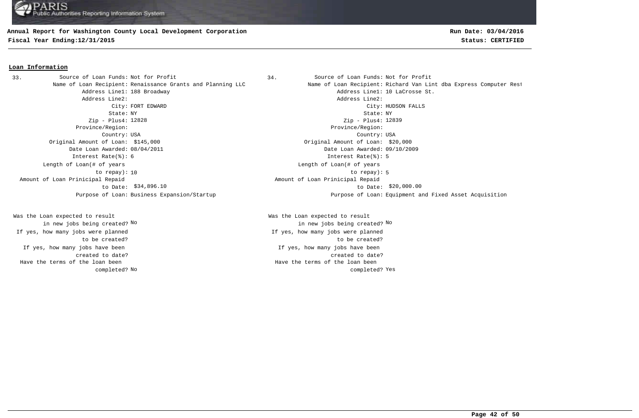#### **Annual Report for Washington County Local Development Corporation**

**Fiscal Year Ending:12/31/2015 Status: CERTIFIED**

# **Run Date: 03/04/2016**

#### **Loan Information**

Address Line2: Address Line2: State: NY State: NY Zip - Plus4: 12828 Province/Region: Province/Region: Country: USA Country: USA Original Amount of Loan: \$145,000 Original Amount of Loan: \$20,000 Date Loan Awarded: 08/04/2011 Date Loan Awarded: 09/10/2009 Interest Rate(%): 6 Interest Rate(%): 5 Length of Loan(# of years to repay): Amount of Loan Prinicipal Repaid to Date: \$34,896.10 33. Source of Loan Funds: Not for Profit

If yes, how many jobs have been created to date? Was the Loan expected to result in new jobs being created? No If yes, how many jobs were planned to be created? Have the terms of the loan been completed?

Source of Loan Funds: Not for Profit Source of Loan Funds: Not for Profit Name of Loan Recipient: Renaissance Grants and Planning LLC Name of Loan Recipient: Richard Van Lint dba Express Computer Rest Address Line1: 188 Broadway and the set of the control of the Address Line1: 10 LaCrosse St. City: FORT EDWARD City: HUDSON FALLS Zip - Plus4: 12839 10 to repay): 5 Length of Loan(# of years  $$34,896.10$  to Date:  $$20,000.00$  Amount of Loan Prinicipal Repaid Purpose of Loan: Business Expansion/Startup Purpose of Loan: Equipment and Fixed Asset Acquisition

> If yes, how many jobs have been created to date? Was the Loan expected to result in new jobs being created? No No If yes, how many jobs were planned to be created? No completed? Yes a set of the completed? Yes Have the terms of the loan been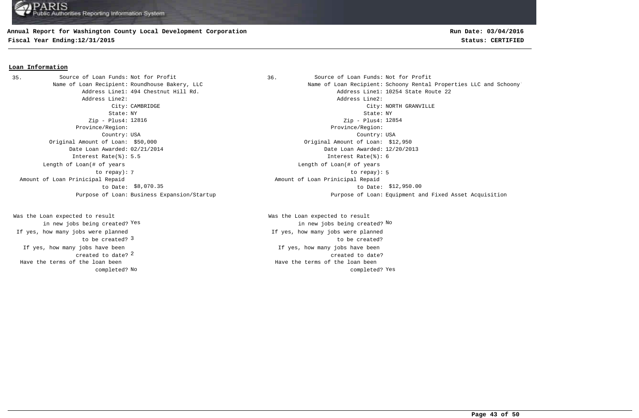### **Annual Report for Washington County Local Development Corporation**

**Fiscal Year Ending:12/31/2015 Status: CERTIFIED**

#### **Loan Information**

35. Source of Loan Funds: Not for Profit 1997 1898. Source of Loan Funds: Not for Profit Address Line2: Address Line2: Zip - Plus4: Zip - Plus4: Province/Region: Province/Region: Country: USA Country: USA Original Amount of Loan: \$50,000 Original Amount of Loan: \$12,950 Date Loan Awarded: 02/21/2014 Date Loan Awarded: 12/20/2013 Interest Rate(%): 5.5 Interest Rate(%): 6 Length of Loan(# of years to repay): Amount of Loan Prinicipal Repaid to Date: \$8,070.35

2 created to date? If yes, how many jobs have been to be created? 3 Was the Loan expected to result in new jobs being created? Yes If yes, how many jobs were planned Have the terms of the loan been completed?

Name of Loan Recipient: Roundhouse Bakery, LLC Name of Loan Recipient: Schoony Rental Properties LLC and Schoony' Address Line1: 494 Chestnut Hill Rd. Address Line1: 10254 State Route 22 City: CAMBRIDGE City: NORTH GRANVILLE State: NY State: NY Zip - Plus4: 12854 The state of the state of the state of the state of the state of the state of the state of the state of the state of the state of the state of the state of the state of the state of the state of the state of the state of t Length of Loan(# of years  $$8,070.35$  to Date:  $$12,950.00$  Amount of Loan Prinicipal Repaid Purpose of Loan: Business Expansion/Startup Purpose of Loan: Equipment and Fixed Asset Acquisition

> If yes, how many jobs have been created to date? Was the Loan expected to result Yes the contract of the contract of the contract of the contract of the contract of  $\mathbb{N}^{\mathsf{O}}$ If yes, how many jobs were planned to be created? No completed? Yes a set of the completed? Yes Have the terms of the loan been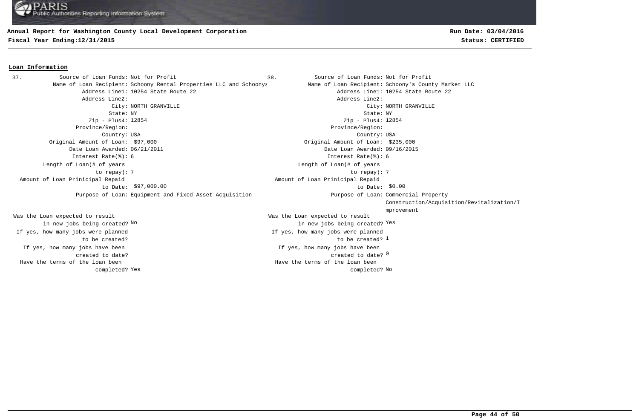#### **Annual Report for Washington County Local Development Corporation**

**Fiscal Year Ending:12/31/2015 Status: CERTIFIED**

#### **Loan Information**

Name of Loan Recipient: Schoony Rental Properties LLC and Schoonys Name of Loan Recipient: Schoony's County Market LLC Address Line1: 10254 State Route 22 and Address Line1: 10254 State Route 22 Address Line2: Address Line2: City: NORTH GRANVILLE City: NORTH GRANVILLE State: NY State: NY Zip - Plus4: Zip - Plus4: Province/Region: Province/Region: Country: USA Country: USA Original Amount of Loan: \$97,000 Original Amount of Loan: \$235,000 Date Loan Awarded: 06/21/2011 Date Loan Awarded: 09/16/2015 Was the Loan expected to result Was the Loan expected to result new jobs being created? <sup>Yes</sup> in new jobs being created? <sup>Yes</sup> Interest Rate(%): 6 Interest Rate(%): 6 7 7 to repay): Length of Loan(# of years to repay):  $$97,000.00$   $$0.00$  Amount of Loan Prinicipal Repaid to Date: \$97,000.00 Purpose of Loan: Equipment and Fixed Asset Acquisition Purpose of Loan: Commercial Property 37. Source of Loan Funds: Not for Profit

If yes, how many jobs have been created to date? in new jobs being created? No If yes, how many jobs were planned to be created? Yes and the completed? No completed? No Have the terms of the loan been completed?

**Run Date: 03/04/2016**

38. Source of Loan Funds: Not for Profit created to date? <sup>0</sup> If yes, how many jobs have been to be created? 1 Zip - Plus4: 12854 If yes, how many jobs were planned Length of Loan(# of years Amount of Loan Prinicipal Repaid Construction/Acquisition/Revitalization/I mprovement Have the terms of the loan been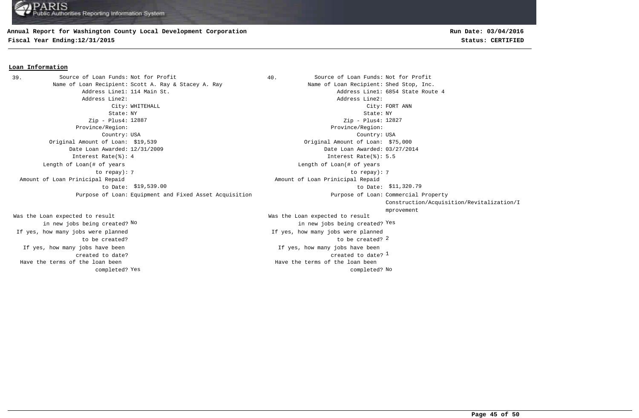#### **Annual Report for Washington County Local Development Corporation**

**Fiscal Year Ending:12/31/2015 Status: CERTIFIED**

#### **Loan Information**

Name of Loan Recipient: Scott A. Ray & Stacey A. Ray Name of Loan Recipient: Shed Stop, Inc. Address Line1: 114 Main St. Address Line1: 6854 State Route 4 Address Line2: Address Line2: City: WHITEHALL City: FORT ANN State: NY State: NY Zip - Plus4: 12887 Province/Region: Province/Region: Country: USA Country: USA Original Amount of Loan: \$19,539 Original Amount of Loan: \$75,000 Date Loan Awarded: 12/31/2009 Date Loan Awarded: 03/27/2014 Interest Rate(%): 4 Interest Rate(%): 5.5 7 7 to repay): Length of Loan(# of years to repay):  $$19,539.00$  to Date:  $$11,320.79$  Amount of Loan Prinicipal Repaid to Date: Purpose of Loan: Equipment and Fixed Asset Acquisition Purpose of Loan: Commercial Property 39. Source of Loan Funds: Not for Profit

If yes, how many jobs have been created to date? Was the Loan expected to result in new jobs being created? No If yes, how many jobs were planned to be created? Have the terms of the loan been completed?

40. Source of Loan Funds: Not for Profit created to date?  $^{\rm 1}$ If yes, how many jobs have been to be created? 2 Was the Loan expected to result new jobs being created? <sup>Yes</sup> in new jobs being created? <sup>Yes</sup> Zip - Plus4: 12827 If yes, how many jobs were planned Length of Loan(# of years Amount of Loan Prinicipal Repaid Construction/Acquisition/Revitalization/I mprovement Have the terms of the loan been

Yes and the completed? No completed? No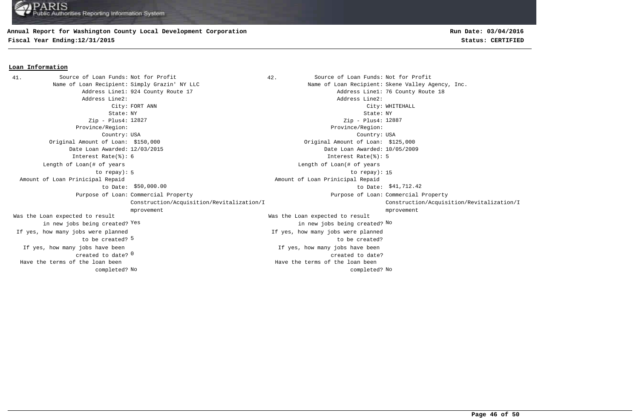### **Annual Report for Washington County Local Development Corporation**

**Fiscal Year Ending:12/31/2015 Status: CERTIFIED**

#### **Loan Information**

42. Source of Loan Funds: Not for Profit Name of Loan Recipient: Simply Grazin' NY LLC Name of Loan Recipient: Skene Valley Agency, Inc. Address Line1: 924 County Route 17 Address Line1: 76 County Route 18 Address Line2: Address Line2: City: FORT ANN City: WHITEHALL State: NY State: NY Zip - Plus4: 12827 Province/Region: Province/Region: Country: USA Country: USA created to date? <sup>0</sup> If yes, how many jobs have been If yes, how many jobs have been created to date? Original Amount of Loan: \$150,000 Original Amount of Loan: \$125,000 Date Loan Awarded: 12/03/2015 Date Loan Awarded: 10/05/2009 to be created? 5 Was the Loan expected to result in new jobs being created? Yes Was the Loan expected to result Yes the contract of the contract of the contract of the contract of the contract of  $\mathbb{N}^{\mathsf{O}}$ Zip - Plus4: 12887 Interest Rate(%): 6 Interest Rate(%): 5 If yes, how many jobs were planned If yes, how many jobs were planned to be created? 5 to repay): 15 Length of Loan(# of years to repay): Length of Loan(# of years  $$50,000.00$   $$41,712.42$  Amount of Loan Prinicipal Repaid to Date: \$50,000.00 Amount of Loan Prinicipal Repaid Purpose of Loan: Commercial Property **Example 2** and the community of Loan: Purpose of Loan: Construction/Acquisition/Revitalization/I mprovement Purpose of Loan: Commercial Property Construction/Acquisition/Revitalization/I mprovement No No completed? Have the terms of the loan been completed? Have the terms of the loan been 41. Source of Loan Funds: Not for Profit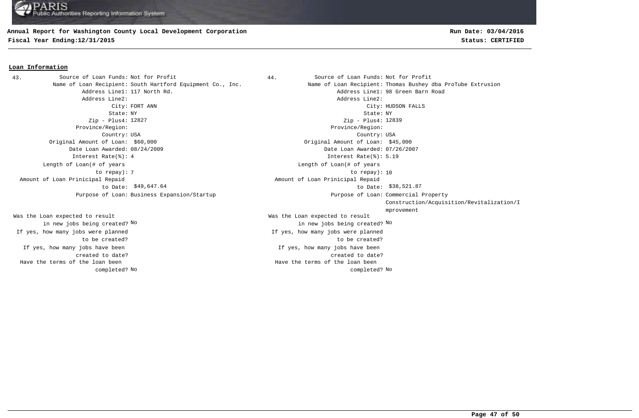## **Annual Report for Washington County Local Development Corporation**

**Fiscal Year Ending:12/31/2015 Status: CERTIFIED**

# **Run Date: 03/04/2016**

#### **Loan Information**

Address Line2: Address Line2: State: NY State: NY Zip - Plus4: 12827 Province/Region: Province/Region: Country: USA Country: USA Original Amount of Loan: \$60,000 Original Amount of Loan: \$45,000 Date Loan Awarded: 08/24/2009 Date Loan Awarded: 07/26/2007 Interest Rate(%): 4 Interest Rate(%): 5.19 Length of Loan(# of years to repay): Amount of Loan Prinicipal Repaid to Date: \$49,647.64 Purpose of Loan: Business Expansion/Startup 43. Source of Loan Funds: Not for Profit

If yes, how many jobs have been created to date? Was the Loan expected to result in new jobs being created? No If yes, how many jobs were planned to be created? Have the terms of the loan been completed?

44. Source of Loan Funds: Not for Profit Name of Loan Recipient: South Hartford Equipment Co., Inc. Name of Loan Recipient: Thomas Bushey dba ProTube Extrusion Address Line1: 117 North Rd. Address Line1: 98 Green Barn Road City: FORT ANN City: HUDSON FALLS If yes, how many jobs have been created to date? Was the Loan expected to result in new jobs being created? No No Zip - Plus4: 12839 If yes, how many jobs were planned to be created? The contract of the contract of the contract of the contract of the contract of the contract of the contract of the contract of the contract of the contract of the contract of the contract of the contract of the contract o Length of Loan(# of years \$49,647.64 \$38,521.87 to Date: Amount of Loan Prinicipal Repaid Purpose of Loan: Commercial Property Construction/Acquisition/Revitalization/I mprovement No No completed? Have the terms of the loan been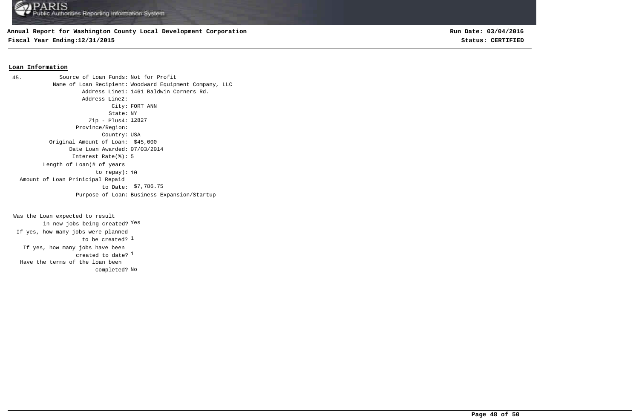## **Annual Report for Washington County Local Development Corporation**

**Fiscal Year Ending:12/31/2015 Status: CERTIFIED**

**Run Date: 03/04/2016**

#### **Loan Information**

Source of Loan Funds: Not for Profit Name of Loan Recipient: Woodward Equipment Company, LLC Address Line1: 1461 Baldwin Corners Rd. Address Line2: City: FORT ANN State: NY Zip - Plus4: 12827 Province/Region: Country: USA Original Amount of Loan: \$45,000 Date Loan Awarded: 07/03/2014 Interest Rate(%): 5 to repay): 10 Length of Loan(# of years \$7,786.75 to Date: Amount of Loan Prinicipal Repaid Purpose of Loan: Business Expansion/Startup 45.

created to date?  $^{\rm 1}$ If yes, how many jobs have been to be created? <sup>1</sup> Was the Loan expected to result in new jobs being created? Yes If yes, how many jobs were planned completed? No Have the terms of the loan been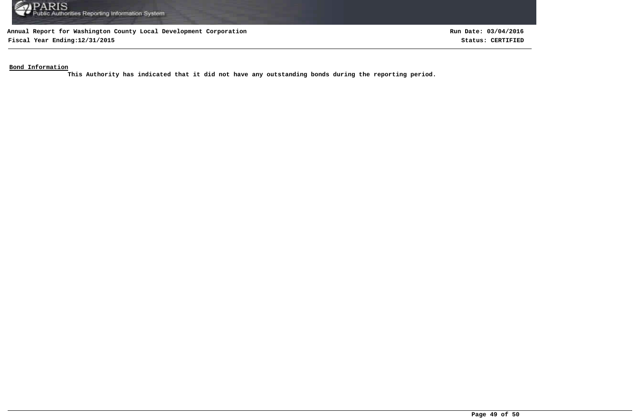

**Fiscal Year Ending:12/31/2015 Status: CERTIFIED**

**Run Date: 03/04/2016**

**Bond Information**

**This Authority has indicated that it did not have any outstanding bonds during the reporting period.**